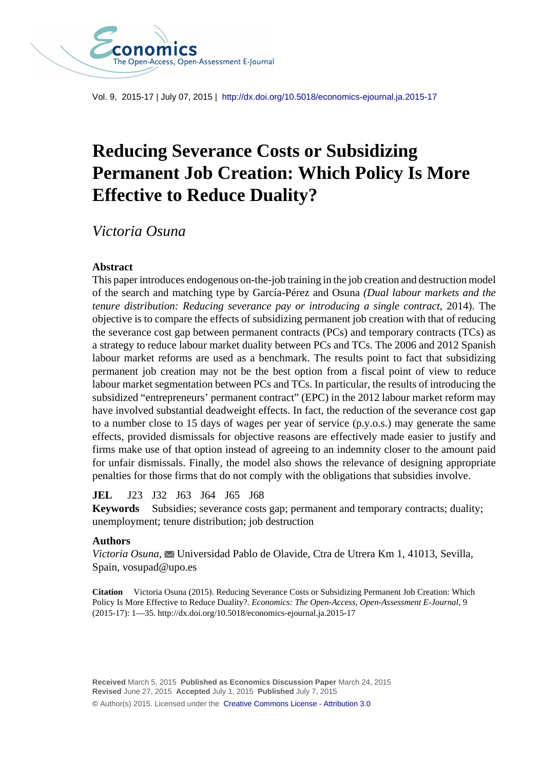

Vol. 9, 2015-17 | July 07, 2015 | <http://dx.doi.org/10.5018/economics-ejournal.ja.2015-17>

# **Reducing Severance Costs or Subsidizing Permanent Job Creation: Which Policy Is More Effective to Reduce Duality?**

*Victoria Osuna*

#### **Abstract**

This paper introduces endogenous on-the-job training in the job creation and destruction model of the search and matching type by García-Pérez and Osuna *(Dual labour markets and the tenure distribution: Reducing severance pay or introducing a single contract*, 2014). The objective is to compare the effects of subsidizing permanent job creation with that of reducing the severance cost gap between permanent contracts (PCs) and temporary contracts (TCs) as a strategy to reduce labour market duality between PCs and TCs. The 2006 and 2012 Spanish labour market reforms are used as a benchmark. The results point to fact that subsidizing permanent job creation may not be the best option from a fiscal point of view to reduce labour market segmentation between PCs and TCs. In particular, the results of introducing the subsidized "entrepreneurs' permanent contract" (EPC) in the 2012 labour market reform may have involved substantial deadweight effects. In fact, the reduction of the severance cost gap to a number close to 15 days of wages per year of service (p.y.o.s.) may generate the same effects, provided dismissals for objective reasons are effectively made easier to justify and firms make use of that option instead of agreeing to an indemnity closer to the amount paid for unfair dismissals. Finally, the model also shows the relevance of designing appropriate penalties for those firms that do not comply with the obligations that subsidies involve.

**JEL** J23 J32 J63 J64 J65 J68

**Keywords** Subsidies; severance costs gap; permanent and temporary contracts; duality; unemployment; tenure distribution; job destruction

#### **Authors**

*Victoria Osuna*, Universidad Pablo de Olavide, Ctra de Utrera Km 1, 41013, Sevilla, Spain, vosupad@upo.es

**Citation** Victoria Osuna (2015). Reducing Severance Costs or Subsidizing Permanent Job Creation: Which Policy Is More Effective to Reduce Duality?. *Economics: The Open-Access, Open-Assessment E-Journal*, 9 (2015-17): 1—35. http://dx.doi.org/10.5018/economics-ejournal.ja.2015-17

**Received** March 5, 2015 **Published as Economics Discussion Paper** March 24, 2015 **Revised** June 27, 2015 **Accepted** July 1, 2015 **Published** July 7, 2015 **©** Author(s) 2015. Licensed under the [Creative Commons License - Attribution 3.0](http://creativecommons.org/licenses/by/3.0/)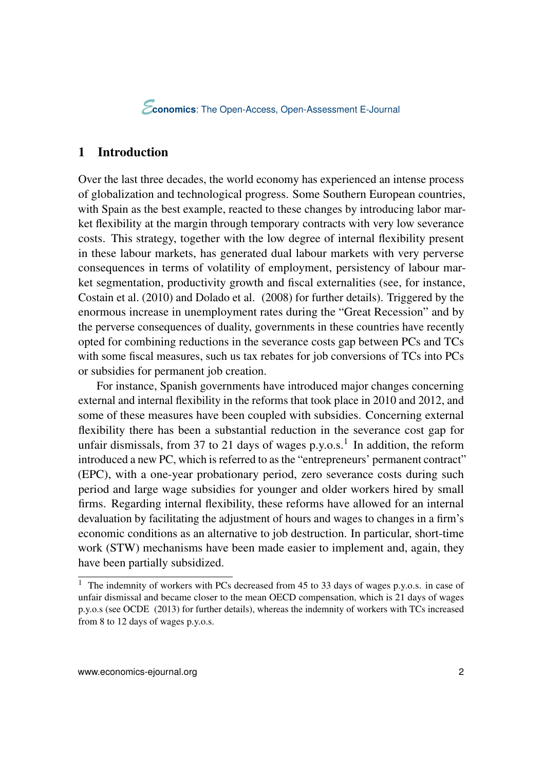## 1 Introduction

Over the last three decades, the world economy has experienced an intense process of globalization and technological progress. Some Southern European countries, with Spain as the best example, reacted to these changes by introducing labor market flexibility at the margin through temporary contracts with very low severance costs. This strategy, together with the low degree of internal flexibility present in these labour markets, has generated dual labour markets with very perverse consequences in terms of volatility of employment, persistency of labour market segmentation, productivity growth and fiscal externalities (see, for instance, [Costain et al.](#page-32-0) [\(2010\)](#page-32-0) and [Dolado et al.](#page-33-0) [\(2008\)](#page-33-0) for further details). Triggered by the enormous increase in unemployment rates during the "Great Recession" and by the perverse consequences of duality, governments in these countries have recently opted for combining reductions in the severance costs gap between PCs and TCs with some fiscal measures, such us tax rebates for job conversions of TCs into PCs or subsidies for permanent job creation.

For instance, Spanish governments have introduced major changes concerning external and internal flexibility in the reforms that took place in 2010 and 2012, and some of these measures have been coupled with subsidies. Concerning external flexibility there has been a substantial reduction in the severance cost gap for unfair dismissals, from 37 to 21 days of wages p.y.o.s.<sup>1</sup> In addition, the reform introduced a new PC, which is referred to as the "entrepreneurs' permanent contract" (EPC), with a one-year probationary period, zero severance costs during such period and large wage subsidies for younger and older workers hired by small firms. Regarding internal flexibility, these reforms have allowed for an internal devaluation by facilitating the adjustment of hours and wages to changes in a firm's economic conditions as an alternative to job destruction. In particular, short-time work (STW) mechanisms have been made easier to implement and, again, they have been partially subsidized.

<sup>&</sup>lt;sup>1</sup> The indemnity of workers with PCs decreased from 45 to 33 days of wages p.y.o.s. in case of unfair dismissal and became closer to the mean OECD compensation, which is 21 days of wages p.y.o.s (see [OCDE](#page-33-0) [\(2013\)](#page-33-0) for further details), whereas the indemnity of workers with TCs increased from 8 to 12 days of wages p.y.o.s.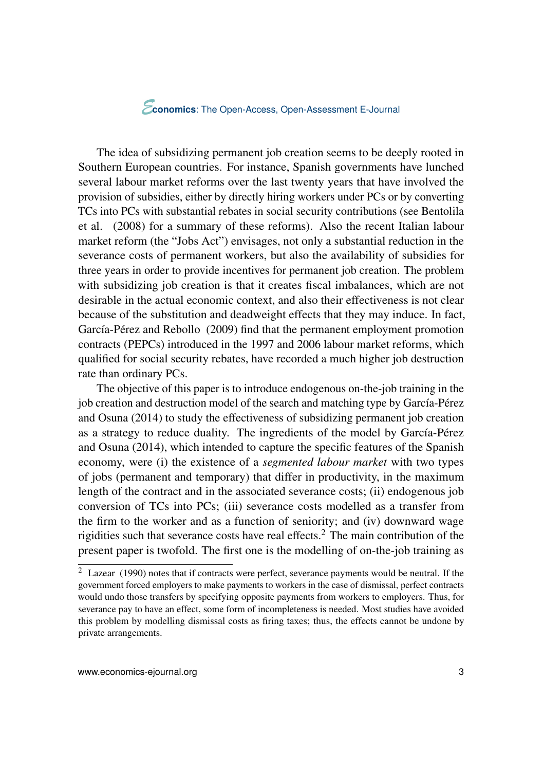The idea of subsidizing permanent job creation seems to be deeply rooted in Southern European countries. For instance, Spanish governments have lunched several labour market reforms over the last twenty years that have involved the provision of subsidies, either by directly hiring workers under PCs or by converting TCs into PCs with substantial rebates in social security contributions (see [Bentolila](#page-32-0) [et al.](#page-32-0) [\(2008\)](#page-32-0) for a summary of these reforms). Also the recent Italian labour market reform (the "Jobs Act") envisages, not only a substantial reduction in the severance costs of permanent workers, but also the availability of subsidies for three years in order to provide incentives for permanent job creation. The problem with subsidizing job creation is that it creates fiscal imbalances, which are not desirable in the actual economic context, and also their effectiveness is not clear because of the substitution and deadweight effects that they may induce. In fact, [García-Pérez and Rebollo](#page-33-0) [\(2009\)](#page-33-0) find that the permanent employment promotion contracts (PEPCs) introduced in the 1997 and 2006 labour market reforms, which qualified for social security rebates, have recorded a much higher job destruction rate than ordinary PCs.

The objective of this paper is to introduce endogenous on-the-job training in the job creation and destruction model of the search and matching type by [García-Pérez](#page-33-0) [and Osuna](#page-33-0) [\(2014\)](#page-33-0) to study the effectiveness of subsidizing permanent job creation as a strategy to reduce duality. The ingredients of the model by [García-Pérez](#page-33-0) [and Osuna](#page-33-0) [\(2014\)](#page-33-0), which intended to capture the specific features of the Spanish economy, were (i) the existence of a *segmented labour market* with two types of jobs (permanent and temporary) that differ in productivity, in the maximum length of the contract and in the associated severance costs; (ii) endogenous job conversion of TCs into PCs; (iii) severance costs modelled as a transfer from the firm to the worker and as a function of seniority; and (iv) downward wage rigidities such that severance costs have real effects.<sup>2</sup> The main contribution of the present paper is twofold. The first one is the modelling of on-the-job training as

 $\overline{2}$  [Lazear](#page-33-0) [\(1990\)](#page-33-0) notes that if contracts were perfect, severance payments would be neutral. If the government forced employers to make payments to workers in the case of dismissal, perfect contracts would undo those transfers by specifying opposite payments from workers to employers. Thus, for severance pay to have an effect, some form of incompleteness is needed. Most studies have avoided this problem by modelling dismissal costs as firing taxes; thus, the effects cannot be undone by private arrangements.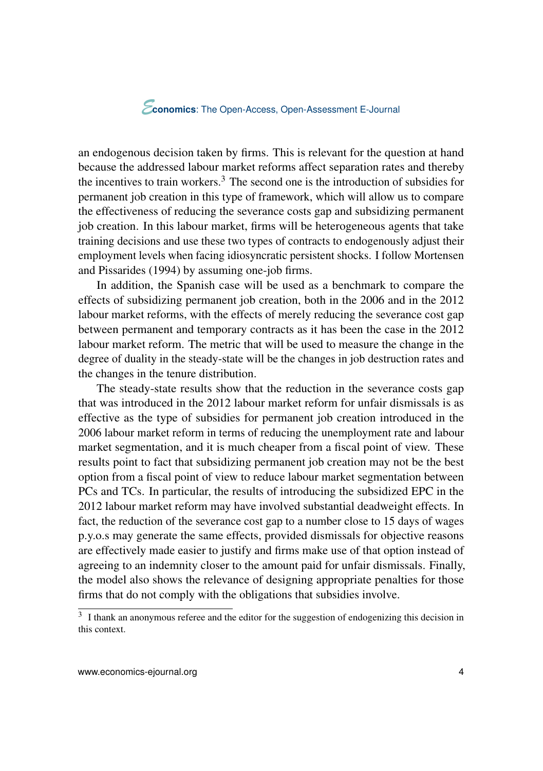an endogenous decision taken by firms. This is relevant for the question at hand because the addressed labour market reforms affect separation rates and thereby the incentives to train workers. $3$  The second one is the introduction of subsidies for permanent job creation in this type of framework, which will allow us to compare the effectiveness of reducing the severance costs gap and subsidizing permanent job creation. In this labour market, firms will be heterogeneous agents that take training decisions and use these two types of contracts to endogenously adjust their employment levels when facing idiosyncratic persistent shocks. I follow Mortensen and Pissarides (1994) by assuming one-job firms.

In addition, the Spanish case will be used as a benchmark to compare the effects of subsidizing permanent job creation, both in the 2006 and in the 2012 labour market reforms, with the effects of merely reducing the severance cost gap between permanent and temporary contracts as it has been the case in the 2012 labour market reform. The metric that will be used to measure the change in the degree of duality in the steady-state will be the changes in job destruction rates and the changes in the tenure distribution.

The steady-state results show that the reduction in the severance costs gap that was introduced in the 2012 labour market reform for unfair dismissals is as effective as the type of subsidies for permanent job creation introduced in the 2006 labour market reform in terms of reducing the unemployment rate and labour market segmentation, and it is much cheaper from a fiscal point of view. These results point to fact that subsidizing permanent job creation may not be the best option from a fiscal point of view to reduce labour market segmentation between PCs and TCs. In particular, the results of introducing the subsidized EPC in the 2012 labour market reform may have involved substantial deadweight effects. In fact, the reduction of the severance cost gap to a number close to 15 days of wages p.y.o.s may generate the same effects, provided dismissals for objective reasons are effectively made easier to justify and firms make use of that option instead of agreeing to an indemnity closer to the amount paid for unfair dismissals. Finally, the model also shows the relevance of designing appropriate penalties for those firms that do not comply with the obligations that subsidies involve.

 $3\,$  I thank an anonymous referee and the editor for the suggestion of endogenizing this decision in this context.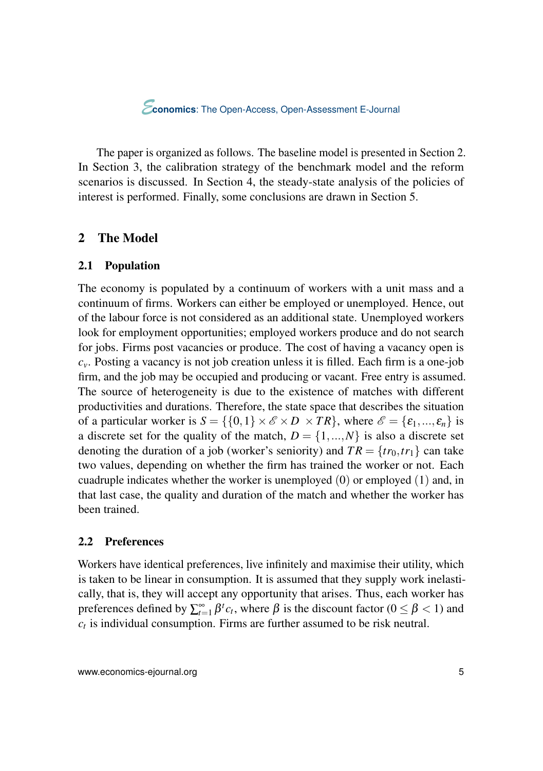The paper is organized as follows. The baseline model is presented in Section 2. In Section [3,](#page-16-0) the calibration strategy of the benchmark model and the reform scenarios is discussed. In Section [4,](#page-22-0) the steady-state analysis of the policies of interest is performed. Finally, some conclusions are drawn in Section [5.](#page--1-0)

# 2 The Model

#### 2.1 Population

The economy is populated by a continuum of workers with a unit mass and a continuum of firms. Workers can either be employed or unemployed. Hence, out of the labour force is not considered as an additional state. Unemployed workers look for employment opportunities; employed workers produce and do not search for jobs. Firms post vacancies or produce. The cost of having a vacancy open is *cv*. Posting a vacancy is not job creation unless it is filled. Each firm is a one-job firm, and the job may be occupied and producing or vacant. Free entry is assumed. The source of heterogeneity is due to the existence of matches with different productivities and durations. Therefore, the state space that describes the situation of a particular worker is  $S = \{ \{0,1\} \times \mathcal{E} \times D \times TR \}$ , where  $\mathcal{E} = \{ \varepsilon_1, ..., \varepsilon_n \}$  is a discrete set for the quality of the match,  $D = \{1, ..., N\}$  is also a discrete set denoting the duration of a job (worker's seniority) and  $TR = \{tr_0, tr_1\}$  can take two values, depending on whether the firm has trained the worker or not. Each cuadruple indicates whether the worker is unemployed (0) or employed (1) and, in that last case, the quality and duration of the match and whether the worker has been trained.

#### 2.2 Preferences

Workers have identical preferences, live infinitely and maximise their utility, which is taken to be linear in consumption. It is assumed that they supply work inelastically, that is, they will accept any opportunity that arises. Thus, each worker has preferences defined by  $\sum_{t=1}^{\infty} \beta^t c_t$ , where β is the discount factor ( $0 \le \beta < 1$ ) and  $c<sub>t</sub>$  is individual consumption. Firms are further assumed to be risk neutral.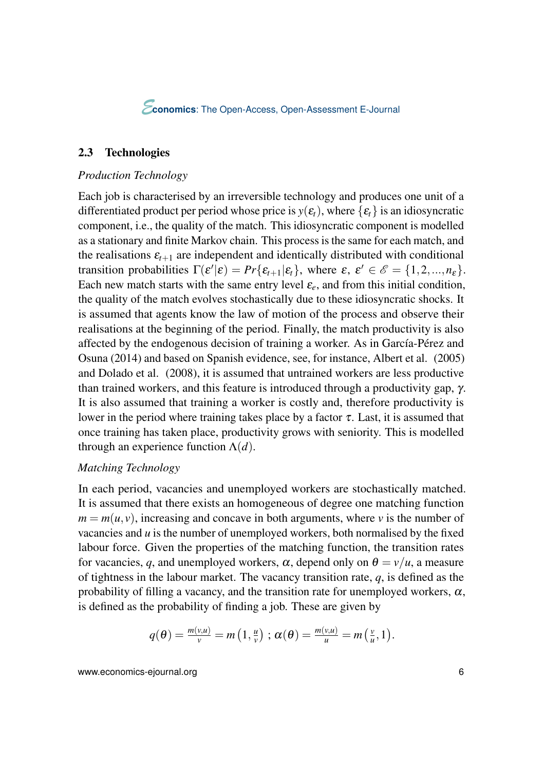# 2.3 Technologies

# *Production Technology*

Each job is characterised by an irreversible technology and produces one unit of a differentiated product per period whose price is  $y(\epsilon_t)$ , where  $\{\epsilon_t\}$  is an idiosyncratic component, i.e., the quality of the match. This idiosyncratic component is modelled as a stationary and finite Markov chain. This process is the same for each match, and the realisations  $\varepsilon_{t+1}$  are independent and identically distributed with conditional transition probabilities  $\Gamma(\varepsilon'|\varepsilon) = Pr{\{\varepsilon_{t+1}|\varepsilon_t\}}$ , where  $\varepsilon, \varepsilon' \in \mathscr{E} = \{1, 2, ..., n_{\varepsilon}\}.$ Each new match starts with the same entry level  $\varepsilon_e$ , and from this initial condition, the quality of the match evolves stochastically due to these idiosyncratic shocks. It is assumed that agents know the law of motion of the process and observe their realisations at the beginning of the period. Finally, the match productivity is also affected by the endogenous decision of training a worker. As in [García-Pérez and](#page-33-0) [Osuna](#page-33-0) [\(2014\)](#page-33-0) and based on Spanish evidence, see, for instance, [Albert et al.](#page-32-0) [\(2005\)](#page-32-0) and [Dolado et al.](#page-33-0) [\(2008\)](#page-33-0), it is assumed that untrained workers are less productive than trained workers, and this feature is introduced through a productivity gap, γ. It is also assumed that training a worker is costly and, therefore productivity is lower in the period where training takes place by a factor  $\tau$ . Last, it is assumed that once training has taken place, productivity grows with seniority. This is modelled through an experience function  $\Lambda(d)$ .

## *Matching Technology*

In each period, vacancies and unemployed workers are stochastically matched. It is assumed that there exists an homogeneous of degree one matching function  $m = m(u, v)$ , increasing and concave in both arguments, where *v* is the number of vacancies and *u* is the number of unemployed workers, both normalised by the fixed labour force. Given the properties of the matching function, the transition rates for vacancies, *q*, and unemployed workers,  $\alpha$ , depend only on  $\theta = v/u$ , a measure of tightness in the labour market. The vacancy transition rate, *q*, is defined as the probability of filling a vacancy, and the transition rate for unemployed workers,  $\alpha$ , is defined as the probability of finding a job. These are given by

$$
q(\theta) = \frac{m(v, u)}{v} = m\left(1, \frac{u}{v}\right); \alpha(\theta) = \frac{m(v, u)}{u} = m\left(\frac{v}{u}, 1\right).
$$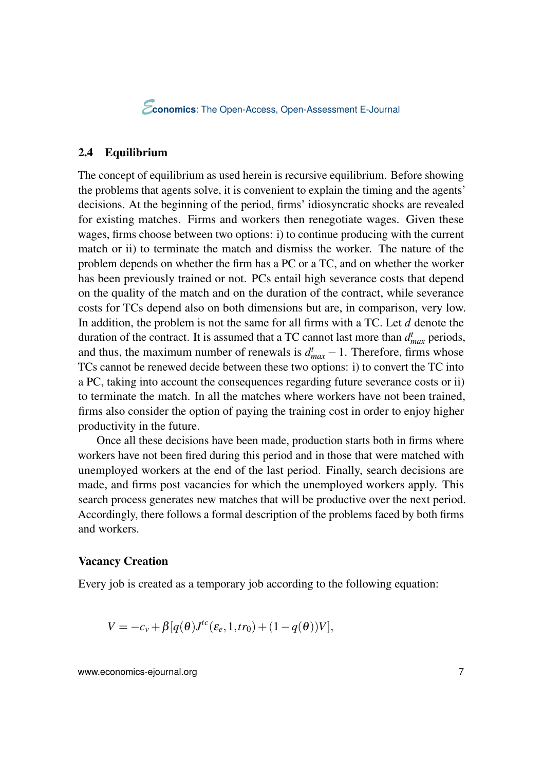#### 2.4 Equilibrium

The concept of equilibrium as used herein is recursive equilibrium. Before showing the problems that agents solve, it is convenient to explain the timing and the agents' decisions. At the beginning of the period, firms' idiosyncratic shocks are revealed for existing matches. Firms and workers then renegotiate wages. Given these wages, firms choose between two options: i) to continue producing with the current match or ii) to terminate the match and dismiss the worker. The nature of the problem depends on whether the firm has a PC or a TC, and on whether the worker has been previously trained or not. PCs entail high severance costs that depend on the quality of the match and on the duration of the contract, while severance costs for TCs depend also on both dimensions but are, in comparison, very low. In addition, the problem is not the same for all firms with a TC. Let *d* denote the duration of the contract. It is assumed that a TC cannot last more than  $d_{max}^t$  periods, and thus, the maximum number of renewals is  $d_{max}^t - 1$ . Therefore, firms whose TCs cannot be renewed decide between these two options: i) to convert the TC into a PC, taking into account the consequences regarding future severance costs or ii) to terminate the match. In all the matches where workers have not been trained, firms also consider the option of paying the training cost in order to enjoy higher productivity in the future.

Once all these decisions have been made, production starts both in firms where workers have not been fired during this period and in those that were matched with unemployed workers at the end of the last period. Finally, search decisions are made, and firms post vacancies for which the unemployed workers apply. This search process generates new matches that will be productive over the next period. Accordingly, there follows a formal description of the problems faced by both firms and workers.

#### Vacancy Creation

Every job is created as a temporary job according to the following equation:

$$
V = -c_v + \beta[q(\theta)J^{tc}(\varepsilon_e, 1, tr_0) + (1 - q(\theta))V],
$$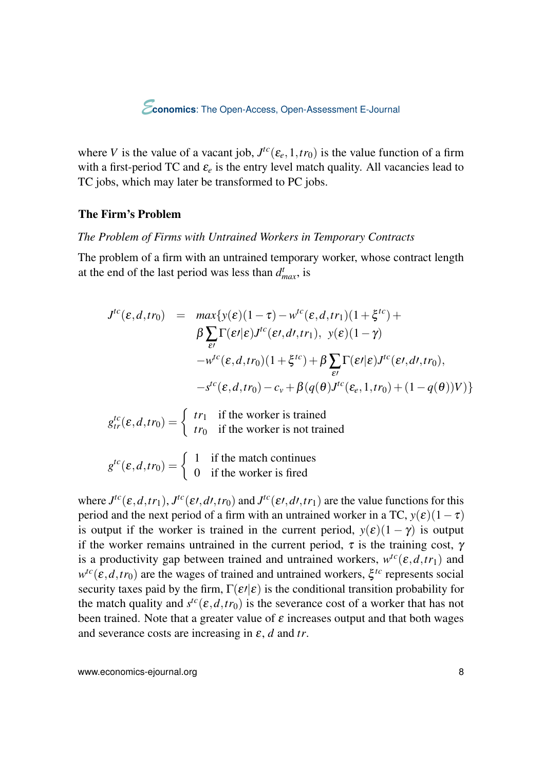where *V* is the value of a vacant job,  $J^{tc}(\varepsilon_e, 1, tr_0)$  is the value function of a firm with a first-period TC and  $\varepsilon_e$  is the entry level match quality. All vacancies lead to TC jobs, which may later be transformed to PC jobs.

## The Firm's Problem

#### *The Problem of Firms with Untrained Workers in Temporary Contracts*

The problem of a firm with an untrained temporary worker, whose contract length at the end of the last period was less than  $d_{max}^t$ , is

$$
J^{tc}(\varepsilon, d, tr_0) = \max \{ y(\varepsilon)(1-\tau) - w^{tc}(\varepsilon, d, tr_1)(1+\xi^{tc}) + \beta \sum_{\varepsilon'} \Gamma(\varepsilon'|\varepsilon) J^{tc}(\varepsilon', d', tr_1), y(\varepsilon)(1-\gamma) - w^{tc}(\varepsilon, d, tr_0)(1+\xi^{tc}) + \beta \sum_{\varepsilon'} \Gamma(\varepsilon'|\varepsilon) J^{tc}(\varepsilon', d', tr_0),
$$
  

$$
-s^{tc}(\varepsilon, d, tr_0) - c_v + \beta (q(\theta) J^{tc}(\varepsilon_{\varepsilon}, 1, tr_0) + (1-q(\theta)) V) \}
$$

 $g_{tr}^{tc}(\varepsilon, d, tr_0) = \begin{cases} tr_1 & \text{if the worker is trained} \\ tr_2 & \text{if the worker is not train} \end{cases}$ *tr*<sup>0</sup> if the worker is not trained

|  | $g^{tc}(\varepsilon, d, tr_0) = \begin{cases} 1 & \text{if the match continues} \\ 0 & \text{if the worker is fired} \end{cases}$ |
|--|-----------------------------------------------------------------------------------------------------------------------------------|

where  $J^{tc}(\varepsilon, d, tr_1)$ ,  $J^{tc}(\varepsilon, d, tr_0)$  and  $J^{tc}(\varepsilon, d, tr_1)$  are the value functions for this period and the next period of a firm with an untrained worker in a TC,  $y(\varepsilon)(1-\tau)$ is output if the worker is trained in the current period,  $y(\varepsilon)(1 - \gamma)$  is output if the worker remains untrained in the current period,  $\tau$  is the training cost,  $\gamma$ is a productivity gap between trained and untrained workers,  $w^{tc}(\varepsilon, d, tr_1)$  and  $w^{tc}(\varepsilon, d, tr_0)$  are the wages of trained and untrained workers,  $\xi^{tc}$  represents social security taxes paid by the firm,  $\Gamma(\varepsilon/|\varepsilon)$  is the conditional transition probability for the match quality and  $s^{tc}(\varepsilon, d, tr_0)$  is the severance cost of a worker that has not been trained. Note that a greater value of  $\varepsilon$  increases output and that both wages and severance costs are increasing in ε, *d* and *tr*.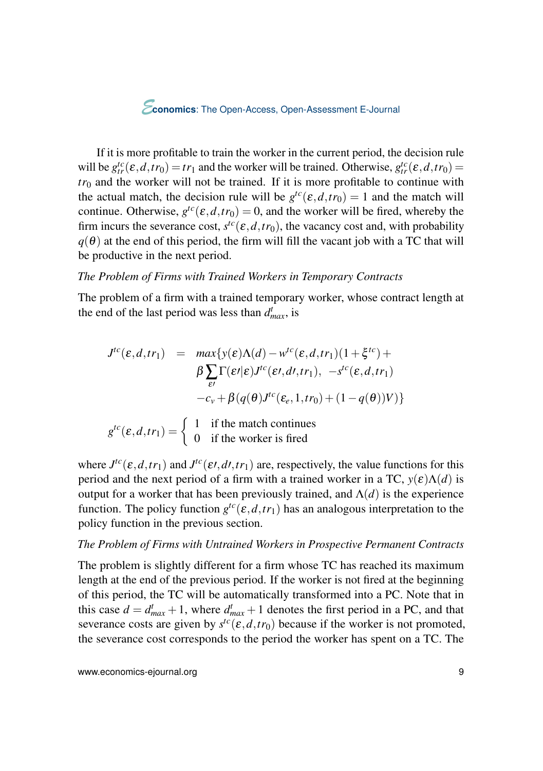If it is more profitable to train the worker in the current period, the decision rule will be  $g_{tr}^{tc}(\varepsilon, d, tr_0) = tr_1$  and the worker will be trained. Otherwise,  $g_{tr}^{tc}(\varepsilon, d, tr_0) =$  $tr_0$  and the worker will not be trained. If it is more profitable to continue with the actual match, the decision rule will be  $g^{tc}(\varepsilon, d, tr_0) = 1$  and the match will continue. Otherwise,  $g^{tc}(\varepsilon, d, tr_0) = 0$ , and the worker will be fired, whereby the firm incurs the severance cost,  $s^{tc}(\varepsilon, d, tr_0)$ , the vacancy cost and, with probability  $q(\theta)$  at the end of this period, the firm will fill the vacant job with a TC that will be productive in the next period.

#### *The Problem of Firms with Trained Workers in Temporary Contracts*

The problem of a firm with a trained temporary worker, whose contract length at the end of the last period was less than  $d_{max}^t$ , is

$$
J^{tc}(\varepsilon, d, tr_1) = \max \{ y(\varepsilon) \Lambda(d) - w^{tc}(\varepsilon, d, tr_1) (1 + \xi^{tc}) + \beta \sum_{\varepsilon'} \Gamma(\varepsilon'|\varepsilon) J^{tc}(\varepsilon', d', tr_1), -s^{tc}(\varepsilon, d, tr_1) - c_v + \beta (q(\theta) J^{tc}(\varepsilon_e, 1, tr_0) + (1 - q(\theta)) V) \}
$$

 $g^{tc}(\varepsilon, d, tr_1) = \begin{cases} 1 & \text{if the match continues} \\ 0 & \text{if the worker is fired} \end{cases}$ 0 if the worker is fired

where  $J^{tc}(\varepsilon, d, tr_1)$  and  $J^{tc}(\varepsilon, d, tr_1)$  are, respectively, the value functions for this period and the next period of a firm with a trained worker in a TC,  $y(\varepsilon) \Lambda(d)$  is output for a worker that has been previously trained, and  $\Lambda(d)$  is the experience function. The policy function  $g^{tc}(\varepsilon, d, tr_1)$  has an analogous interpretation to the policy function in the previous section.

#### *The Problem of Firms with Untrained Workers in Prospective Permanent Contracts*

The problem is slightly different for a firm whose TC has reached its maximum length at the end of the previous period. If the worker is not fired at the beginning of this period, the TC will be automatically transformed into a PC. Note that in this case  $d = d_{max}^t + 1$ , where  $d_{max}^t + 1$  denotes the first period in a PC, and that severance costs are given by  $s^{tc}(\varepsilon, d, tr_0)$  because if the worker is not promoted, the severance cost corresponds to the period the worker has spent on a TC. The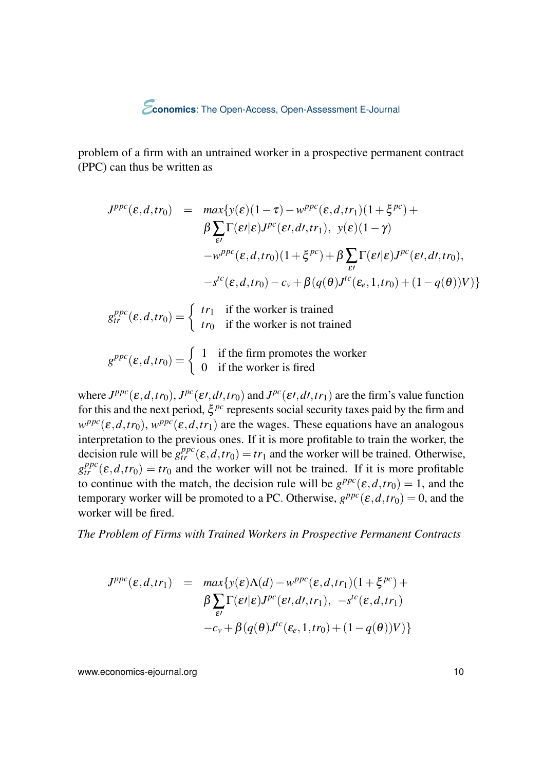problem of a firm with an untrained worker in a prospective permanent contract (PPC) can thus be written as

$$
J^{ppc}(\varepsilon, d, tr_0) = \max \{ y(\varepsilon)(1-\tau) - w^{ppc}(\varepsilon, d, tr_1)(1+\xi^{pc}) + \beta \sum_{\varepsilon'} \Gamma(\varepsilon'|\varepsilon) J^{pc}(\varepsilon' , d', tr_1), \ y(\varepsilon)(1-\gamma) - w^{ppc}(\varepsilon, d, tr_0)(1+\xi^{pc}) + \beta \sum_{\varepsilon'} \Gamma(\varepsilon'|\varepsilon) J^{pc}(\varepsilon' , d', tr_0),
$$
  

$$
-s^{tc}(\varepsilon, d, tr_0) - c_v + \beta (q(\theta) J^{tc}(\varepsilon_e, 1, tr_0) + (1 - q(\theta)) V) \}
$$

 $g_{tr}^{ppc}(\varepsilon, d, tr_0) = \begin{cases} tr_1 & \text{if the worker is trained} \\ tr_2 & \text{if the worker is not train} \end{cases}$ *tr*<sup>0</sup> if the worker is not trained

 $g^{ppc}(\varepsilon, d, tr_0) = \begin{cases} 1 & \text{if the firm promotes the worker} \\ 0 & \text{if the worker is fired} \end{cases}$ 0 if the worker is fired

where  $J^{ppc}(\varepsilon, d, tr_0)$ ,  $J^{pc}(\varepsilon, d, tr_0)$  and  $J^{pc}(\varepsilon, d, tr_1)$  are the firm's value function for this and the next period, ξ *pc* represents social security taxes paid by the firm and  $w^{ppc}(\varepsilon, d, tr_0)$ ,  $w^{ppc}(\varepsilon, d, tr_1)$  are the wages. These equations have an analogous interpretation to the previous ones. If it is more profitable to train the worker, the decision rule will be  $g_{tr}^{ppc}(\varepsilon, d, tr_0) = tr_1$  and the worker will be trained. Otherwise,  $g_{tr}^{ppc}(\varepsilon, d, tr_0) = tr_0$  and the worker will not be trained. If it is more profitable to continue with the match, the decision rule will be  $g^{ppc}(\varepsilon, d, tr_0) = 1$ , and the temporary worker will be promoted to a PC. Otherwise,  $g^{ppc}(\varepsilon, d, tr_0) = 0$ , and the worker will be fired.

*The Problem of Firms with Trained Workers in Prospective Permanent Contracts*

$$
J^{ppc}(\varepsilon, d, tr_1) = \max \{ y(\varepsilon) \Lambda(d) - w^{ppc}(\varepsilon, d, tr_1) (1 + \xi^{pc}) + \beta \sum_{\varepsilon'} \Gamma(\varepsilon' | \varepsilon) J^{pc}(\varepsilon' , d', tr_1), -s^{tc}(\varepsilon, d, tr_1) - c_v + \beta (q(\theta) J^{tc}(\varepsilon_e, 1, tr_0) + (1 - q(\theta)) V) \}
$$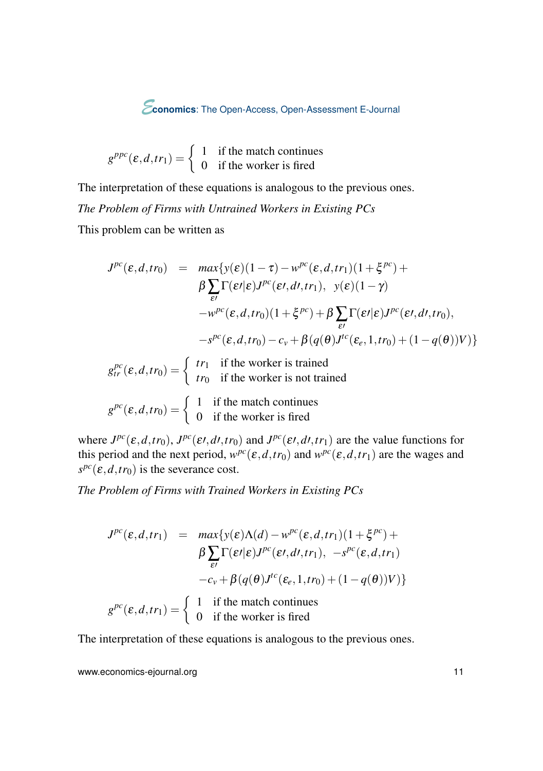$$
g^{ppc}(\varepsilon, d, tr_1) = \begin{cases} 1 & \text{if the match continues} \\ 0 & \text{if the worker is fired} \end{cases}
$$

The interpretation of these equations is analogous to the previous ones.

*The Problem of Firms with Untrained Workers in Existing PCs*

This problem can be written as

$$
J^{pc}(\varepsilon, d, tr_0) = \max \{ y(\varepsilon)(1-\tau) - w^{pc}(\varepsilon, d, tr_1)(1+\xi^{pc}) +
$$
  
\n
$$
\beta \sum_{\varepsilon'} \Gamma(\varepsilon t|\varepsilon) J^{pc}(\varepsilon, d, tr_1), y(\varepsilon)(1-\gamma)
$$
  
\n
$$
-w^{pc}(\varepsilon, d, tr_0)(1+\xi^{pc}) + \beta \sum_{\varepsilon'} \Gamma(\varepsilon t|\varepsilon) J^{pc}(\varepsilon, d, tr_0),
$$
  
\n
$$
-s^{pc}(\varepsilon, d, tr_0) - c_v + \beta (q(\theta) J^{tc}(\varepsilon_e, 1, tr_0) + (1 - q(\theta)) V) \}
$$
  
\n
$$
g_{tr}^{pc}(\varepsilon, d, tr_0) = \begin{cases} tr_1 & \text{if the worker is trained} \\ tr_0 & \text{if the worker is not trained} \end{cases}
$$
  
\n
$$
g^{pc}(\varepsilon, d, tr_0) = \begin{cases} 1 & \text{if the match continues} \\ 0 & \text{if the worker is fired} \end{cases}
$$

where  $J^{pc}(\varepsilon, d, tr_0)$ ,  $J^{pc}(\varepsilon, d, tr_0)$  and  $J^{pc}(\varepsilon, d, tr_1)$  are the value functions for this period and the next period,  $w^{pc}(\varepsilon, d, tr_0)$  and  $w^{pc}(\varepsilon, d, tr_1)$  are the wages and  $s^{pc}(\varepsilon, d, tr_0)$  is the severance cost.

*The Problem of Firms with Trained Workers in Existing PCs*

$$
J^{pc}(\varepsilon, d, tr_1) = \max \{ y(\varepsilon) \Lambda(d) - w^{pc}(\varepsilon, d, tr_1) (1 + \xi^{pc}) + \beta \sum_{\varepsilon'} \Gamma(\varepsilon'|\varepsilon) J^{pc}(\varepsilon, d', tr_1), -s^{pc}(\varepsilon, d, tr_1) - c_v + \beta (q(\theta) J^{tc}(\varepsilon_e, 1, tr_0) + (1 - q(\theta)) V) \}
$$
  

$$
g^{pc}(\varepsilon, d, tr_1) = \begin{cases} 1 & \text{if the match continues} \\ 0 & \text{if the worker is fired} \end{cases}
$$

The interpretation of these equations is analogous to the previous ones.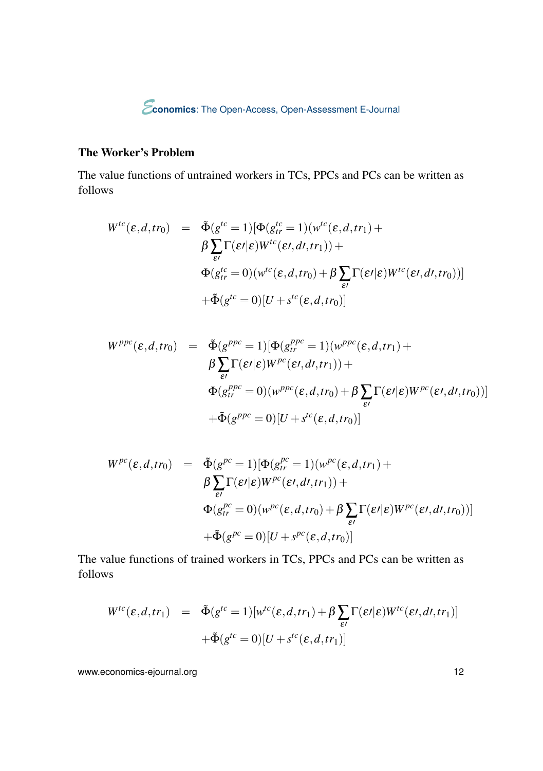# The Worker's Problem

The value functions of untrained workers in TCs, PPCs and PCs can be written as follows

$$
W^{tc}(\varepsilon, d, tr_0) = \tilde{\Phi}(g^{tc} = 1)[\Phi(g_{tr}^{tc} = 1)(w^{tc}(\varepsilon, d, tr_1) + \beta \sum_{\varepsilon'} \Gamma(\varepsilon' | \varepsilon) W^{tc}(\varepsilon, d, tr_1)) +
$$
  

$$
\Phi(g_{tr}^{tc} = 0)(w^{tc}(\varepsilon, d, tr_0) + \beta \sum_{\varepsilon'} \Gamma(\varepsilon' | \varepsilon) W^{tc}(\varepsilon, d, tr_0))
$$
  

$$
+ \tilde{\Phi}(g^{tc} = 0)[U + s^{tc}(\varepsilon, d, tr_0)]
$$

$$
W^{ppc}(\varepsilon, d, tr_0) = \tilde{\Phi}(g^{ppc} = 1)[\Phi(g_{tr}^{ppc} = 1)(w^{ppc}(\varepsilon, d, tr_1) +
$$
  
\n
$$
\beta \sum_{\varepsilon'} \Gamma(\varepsilon'|\varepsilon) W^{pc}(\varepsilon, d, tr_1)) +
$$
  
\n
$$
\Phi(g_{tr}^{ppc} = 0)(w^{ppc}(\varepsilon, d, tr_0) + \beta \sum_{\varepsilon'} \Gamma(\varepsilon'|\varepsilon) W^{pc}(\varepsilon, d, tr_0))
$$
  
\n
$$
+ \tilde{\Phi}(g^{ppc} = 0)[U + s^{tc}(\varepsilon, d, tr_0)]
$$

$$
W^{pc}(\varepsilon, d, tr_0) = \tilde{\Phi}(g^{pc} = 1)[\Phi(g_{tr}^{pc} = 1)(w^{pc}(\varepsilon, d, tr_1) +
$$
  

$$
\beta \sum_{\varepsilon'} \Gamma(\varepsilon'|\varepsilon) W^{pc}(\varepsilon, d, tr_1)) +
$$
  

$$
\Phi(g_{tr}^{pc} = 0)(w^{pc}(\varepsilon, d, tr_0) + \beta \sum_{\varepsilon'} \Gamma(\varepsilon'|\varepsilon) W^{pc}(\varepsilon, d, tr_0))
$$
  

$$
+ \tilde{\Phi}(g^{pc} = 0)[U + s^{pc}(\varepsilon, d, tr_0)]
$$

The value functions of trained workers in TCs, PPCs and PCs can be written as follows

$$
W^{tc}(\varepsilon, d, tr_1) = \tilde{\Phi}(g^{tc} = 1)[w^{tc}(\varepsilon, d, tr_1) + \beta \sum_{\varepsilon'} \Gamma(\varepsilon' | \varepsilon) W^{tc}(\varepsilon, d, tr_1)]
$$
  
 
$$
+ \tilde{\Phi}(g^{tc} = 0)[U + s^{tc}(\varepsilon, d, tr_1)]
$$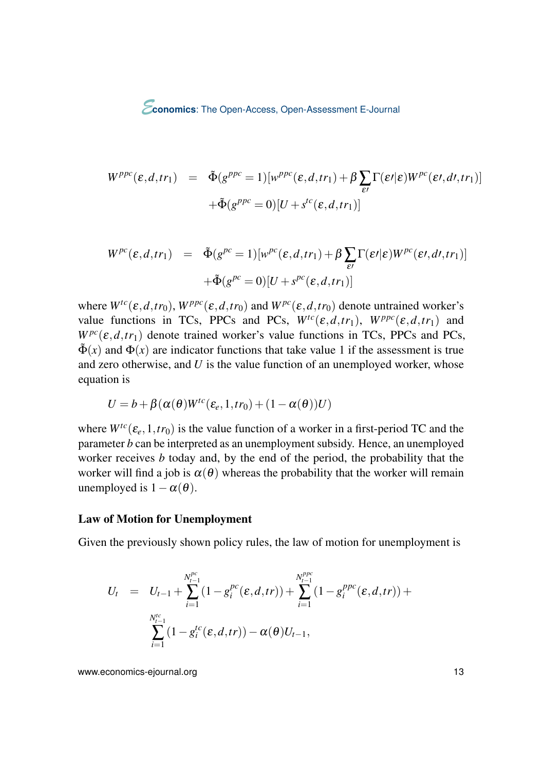$$
W^{ppc}(\varepsilon, d, tr_1) = \tilde{\Phi}(g^{ppc} = 1)[w^{ppc}(\varepsilon, d, tr_1) + \beta \sum_{\varepsilon'} \Gamma(\varepsilon'|\varepsilon) W^{pc}(\varepsilon, d, tr_1)]
$$
  
 
$$
+ \tilde{\Phi}(g^{ppc} = 0)[U + s^{tc}(\varepsilon, d, tr_1)]
$$

$$
W^{pc}(\varepsilon, d, tr_1) = \tilde{\Phi}(g^{pc} = 1)[w^{pc}(\varepsilon, d, tr_1) + \beta \sum_{\varepsilon'} \Gamma(\varepsilon' | \varepsilon) W^{pc}(\varepsilon' , d', tr_1)]
$$

$$
+ \tilde{\Phi}(g^{pc} = 0)[U + s^{pc}(\varepsilon, d, tr_1)]
$$

where  $W^{tc}(\varepsilon, d, tr_0)$ ,  $W^{ppc}(\varepsilon, d, tr_0)$  and  $W^{pc}(\varepsilon, d, tr_0)$  denote untrained worker's value functions in TCs, PPCs and PCs,  $W^{tc}(\varepsilon, d, tr_1)$ ,  $W^{ppc}(\varepsilon, d, tr_1)$  and  $W^{pc}(\varepsilon, d, tr_1)$  denote trained worker's value functions in TCs, PPCs and PCs,  $\tilde{\Phi}(x)$  and  $\Phi(x)$  are indicator functions that take value 1 if the assessment is true and zero otherwise, and *U* is the value function of an unemployed worker, whose equation is

$$
U = b + \beta(\alpha(\theta)W^{tc}(\varepsilon_e, 1, tr_0) + (1 - \alpha(\theta))U)
$$

where  $W^{tc}(\varepsilon_e, 1, tr_0)$  is the value function of a worker in a first-period TC and the parameter *b* can be interpreted as an unemployment subsidy. Hence, an unemployed worker receives *b* today and, by the end of the period, the probability that the worker will find a job is  $\alpha(\theta)$  whereas the probability that the worker will remain unemployed is  $1 - \alpha(\theta)$ .

#### Law of Motion for Unemployment

Given the previously shown policy rules, the law of motion for unemployment is

$$
U_t = U_{t-1} + \sum_{i=1}^{N_{t-1}^{pc}} (1 - g_i^{pc}(\varepsilon, d, tr)) + \sum_{i=1}^{N_{t-1}^{pc}} (1 - g_i^{ppc}(\varepsilon, d, tr)) + \sum_{i=1}^{N_{t-1}^{tc}} (1 - g_i^{tc}(\varepsilon, d, tr)) - \alpha(\theta) U_{t-1},
$$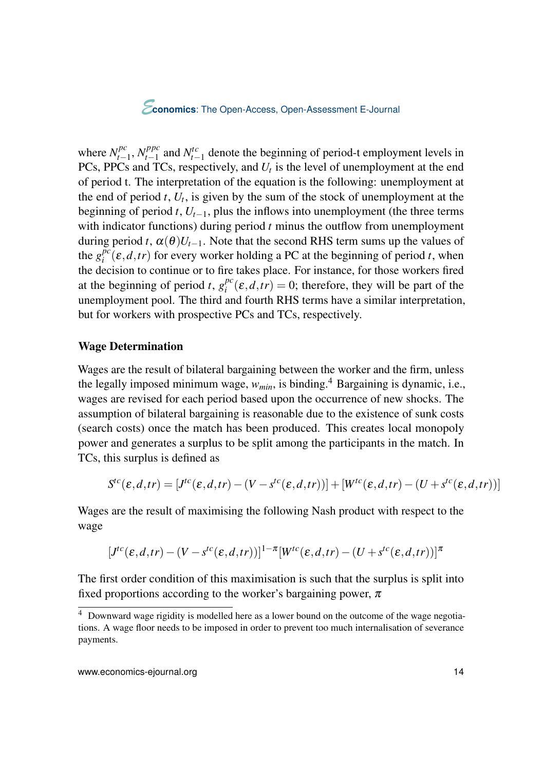where  $N_{t-}^{pc}$ *t*<sub>−1</sub>,  $N_{t-1}^{ppc}$  $t_{t-1}^{ppc}$  and  $N_{t-1}^{tc}$  denote the beginning of period-t employment levels in PCs, PPCs and TCs, respectively, and *U<sup>t</sup>* is the level of unemployment at the end of period t. The interpretation of the equation is the following: unemployment at the end of period  $t$ ,  $U_t$ , is given by the sum of the stock of unemployment at the beginning of period *t*, *Ut*−1, plus the inflows into unemployment (the three terms with indicator functions) during period *t* minus the outflow from unemployment during period *t*,  $\alpha(\theta)U_{t-1}$ . Note that the second RHS term sums up the values of the  $g_i^{pc}$  $e_i^{pc}(\varepsilon, d, tr)$  for every worker holding a PC at the beginning of period *t*, when the decision to continue or to fire takes place. For instance, for those workers fired at the beginning of period *t*,  $g_i^{pc}$  $i^{\text{pc}}(\varepsilon, d, tr) = 0$ ; therefore, they will be part of the unemployment pool. The third and fourth RHS terms have a similar interpretation, but for workers with prospective PCs and TCs, respectively.

#### Wage Determination

Wages are the result of bilateral bargaining between the worker and the firm, unless the legally imposed minimum wage,  $w_{min}$ , is binding.<sup>4</sup> Bargaining is dynamic, i.e., wages are revised for each period based upon the occurrence of new shocks. The assumption of bilateral bargaining is reasonable due to the existence of sunk costs (search costs) once the match has been produced. This creates local monopoly power and generates a surplus to be split among the participants in the match. In TCs, this surplus is defined as

$$
S^{tc}(\varepsilon, d, tr) = [J^{tc}(\varepsilon, d, tr) - (V - s^{tc}(\varepsilon, d, tr))] + [W^{tc}(\varepsilon, d, tr) - (U + s^{tc}(\varepsilon, d, tr))]
$$

Wages are the result of maximising the following Nash product with respect to the wage

$$
[J^{tc}(\varepsilon, d, tr) - (V - s^{tc}(\varepsilon, d, tr))]^{1-\pi} [W^{tc}(\varepsilon, d, tr) - (U + s^{tc}(\varepsilon, d, tr))]^{\pi}
$$

The first order condition of this maximisation is such that the surplus is split into fixed proportions according to the worker's bargaining power,  $\pi$ 

<sup>4</sup> Downward wage rigidity is modelled here as a lower bound on the outcome of the wage negotiations. A wage floor needs to be imposed in order to prevent too much internalisation of severance payments.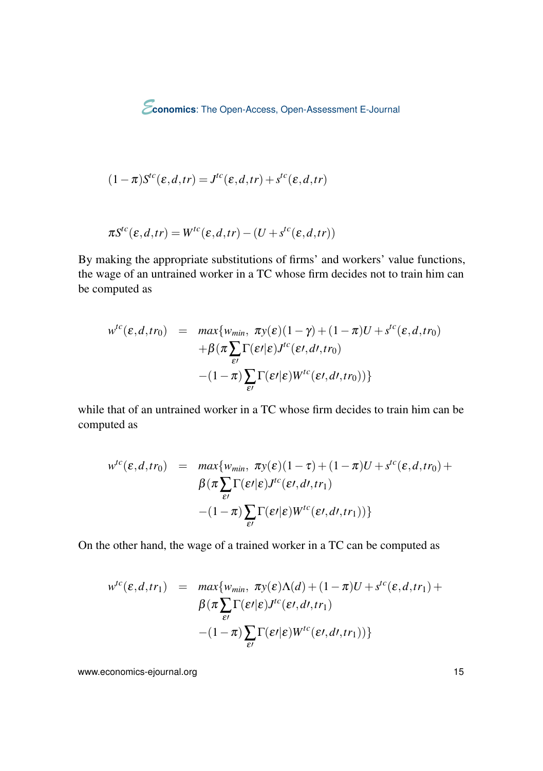$$
(1-\pi)S^{tc}(\varepsilon,d,tr) = J^{tc}(\varepsilon,d,tr) + s^{tc}(\varepsilon,d,tr)
$$

$$
\pi S^{tc}(\varepsilon, d, tr) = W^{tc}(\varepsilon, d, tr) - (U + s^{tc}(\varepsilon, d, tr))
$$

By making the appropriate substitutions of firms' and workers' value functions, the wage of an untrained worker in a TC whose firm decides not to train him can be computed as

$$
w^{tc}(\varepsilon, d, tr_0) = \max\{w_{min}, \pi y(\varepsilon)(1-\gamma) + (1-\pi)U + s^{tc}(\varepsilon, d, tr_0) + \beta(\pi \sum_{\varepsilon'} \Gamma(\varepsilon t|\varepsilon)J^{tc}(\varepsilon t, d t, tr_0) - (1-\pi) \sum_{\varepsilon'} \Gamma(\varepsilon t|\varepsilon)W^{tc}(\varepsilon t, d t, tr_0))\}
$$

while that of an untrained worker in a TC whose firm decides to train him can be computed as

$$
w^{tc}(\varepsilon, d, tr_0) = \max\{w_{min}, \pi y(\varepsilon)(1-\tau) + (1-\pi)U + s^{tc}(\varepsilon, d, tr_0) + \beta(\pi \sum_{\varepsilon'} \Gamma(\varepsilon'|\varepsilon)J^{tc}(\varepsilon', d', tr_1) - (1-\pi) \sum_{\varepsilon'} \Gamma(\varepsilon'|\varepsilon)W^{tc}(\varepsilon', d', tr_1))\}
$$

On the other hand, the wage of a trained worker in a TC can be computed as

$$
w^{tc}(\varepsilon, d, tr_1) = \max\{w_{min}, \pi y(\varepsilon) \Lambda(d) + (1 - \pi)U + s^{tc}(\varepsilon, d, tr_1) + \beta(\pi \sum_{\varepsilon'} \Gamma(\varepsilon'|\varepsilon) J^{tc}(\varepsilon t, d', tr_1) - (1 - \pi) \sum_{\varepsilon'} \Gamma(\varepsilon'|\varepsilon) W^{tc}(\varepsilon t, d', tr_1))\}
$$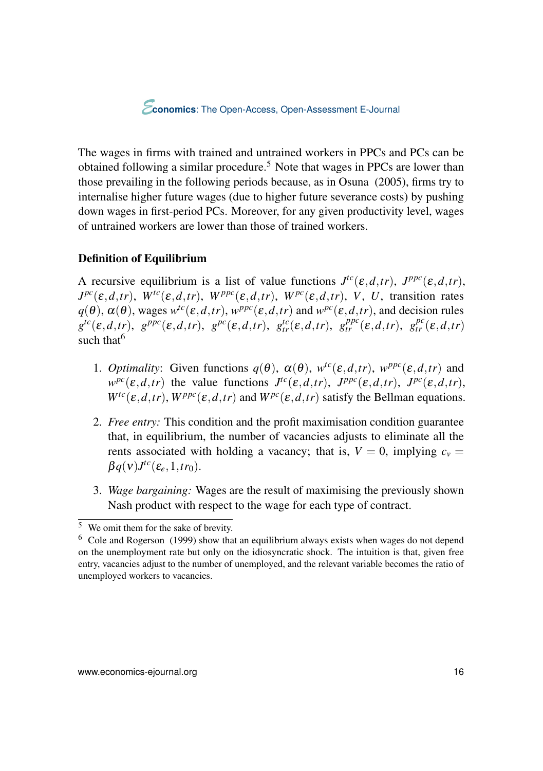The wages in firms with trained and untrained workers in PPCs and PCs can be obtained following a similar procedure.<sup>5</sup> Note that wages in PPCs are lower than those prevailing in the following periods because, as in [Osuna](#page-34-0) [\(2005\)](#page-34-0), firms try to internalise higher future wages (due to higher future severance costs) by pushing down wages in first-period PCs. Moreover, for any given productivity level, wages of untrained workers are lower than those of trained workers.

# Definition of Equilibrium

A recursive equilibrium is a list of value functions  $J^{tc}(\varepsilon, d, tr)$ ,  $J^{ppc}(\varepsilon, d, tr)$ ,  $J^{pc}(\varepsilon, d, tr)$ ,  $W^{tc}(\varepsilon, d, tr)$ ,  $W^{ppc}(\varepsilon, d, tr)$ ,  $W^{pc}(\varepsilon, d, tr)$ , *V*, *U*, transition rates  $q(\theta)$ ,  $\alpha(\theta)$ , wages  $w^{tc}(\varepsilon, d, tr)$ ,  $w^{ppc}(\varepsilon, d, tr)$  and  $w^{pc}(\varepsilon, d, tr)$ , and decision rules  $g^{tc}(\boldsymbol{\varepsilon},d,tr),\ \ g^{ppc}(\boldsymbol{\varepsilon},d,tr),\ \ g^{pc}(\boldsymbol{\varepsilon},d,tr),\ \ g^{tc}_{tr}(\boldsymbol{\varepsilon},d,tr),\ \ g^{ppc}_{tr}(\boldsymbol{\varepsilon},d,tr),\ \ g^{pc}_{tr}(\boldsymbol{\varepsilon},d,tr)$ such that $<sup>6</sup>$ </sup>

- 1. *Optimality*: Given functions  $q(\theta)$ ,  $\alpha(\theta)$ ,  $w^{tc}(\varepsilon, d, tr)$ ,  $w^{ppc}(\varepsilon, d, tr)$  and  $w^{pc}(\varepsilon, d, tr)$  the value functions  $J^{tc}(\varepsilon, d, tr)$ ,  $J^{ppc}(\varepsilon, d, tr)$ ,  $J^{pc}(\varepsilon, d, tr)$ ,  $W^{tc}(\epsilon, d, tr)$ ,  $W^{ppc}(\epsilon, d, tr)$  and  $W^{pc}(\epsilon, d, tr)$  satisfy the Bellman equations.
- 2. *Free entry:* This condition and the profit maximisation condition guarantee that, in equilibrium, the number of vacancies adjusts to eliminate all the rents associated with holding a vacancy; that is,  $V = 0$ , implying  $c_v =$  $\beta q(v)J^{tc}(\varepsilon_e, 1, tr_0)$ .
- 3. *Wage bargaining:* Wages are the result of maximising the previously shown Nash product with respect to the wage for each type of contract.

<sup>5</sup> We omit them for the sake of brevity.

<sup>6</sup> [Cole and Rogerson](#page-32-0) [\(1999\)](#page-32-0) show that an equilibrium always exists when wages do not depend on the unemployment rate but only on the idiosyncratic shock. The intuition is that, given free entry, vacancies adjust to the number of unemployed, and the relevant variable becomes the ratio of unemployed workers to vacancies.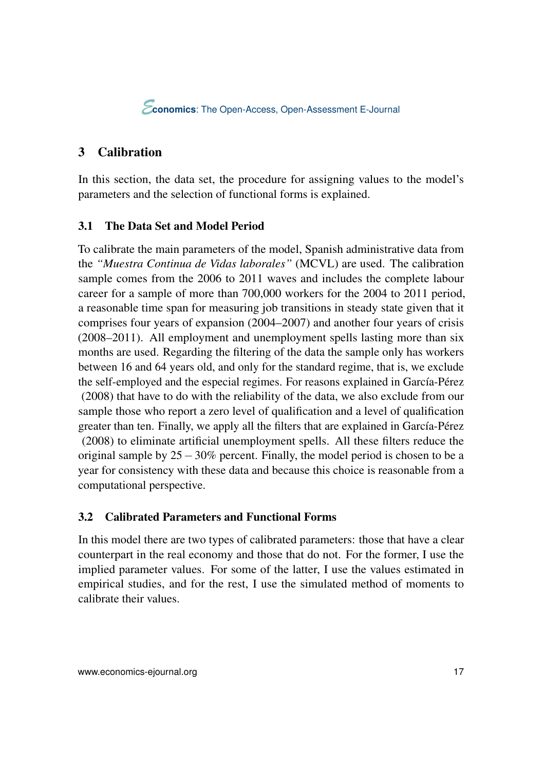# <span id="page-16-0"></span>3 Calibration

In this section, the data set, the procedure for assigning values to the model's parameters and the selection of functional forms is explained.

# 3.1 The Data Set and Model Period

To calibrate the main parameters of the model, Spanish administrative data from the *"Muestra Continua de Vidas laborales"* (MCVL) are used. The calibration sample comes from the 2006 to 2011 waves and includes the complete labour career for a sample of more than 700,000 workers for the 2004 to 2011 period, a reasonable time span for measuring job transitions in steady state given that it comprises four years of expansion (2004–2007) and another four years of crisis (2008–2011). All employment and unemployment spells lasting more than six months are used. Regarding the filtering of the data the sample only has workers between 16 and 64 years old, and only for the standard regime, that is, we exclude the self-employed and the especial regimes. For reasons explained in [García-Pérez](#page-33-0) [\(2008\)](#page-33-0) that have to do with the reliability of the data, we also exclude from our sample those who report a zero level of qualification and a level of qualification greater than ten. Finally, we apply all the filters that are explained in [García-Pérez](#page-33-0) [\(2008\)](#page-33-0) to eliminate artificial unemployment spells. All these filters reduce the original sample by 25−30% percent. Finally, the model period is chosen to be a year for consistency with these data and because this choice is reasonable from a computational perspective.

# 3.2 Calibrated Parameters and Functional Forms

In this model there are two types of calibrated parameters: those that have a clear counterpart in the real economy and those that do not. For the former, I use the implied parameter values. For some of the latter, I use the values estimated in empirical studies, and for the rest, I use the simulated method of moments to calibrate their values.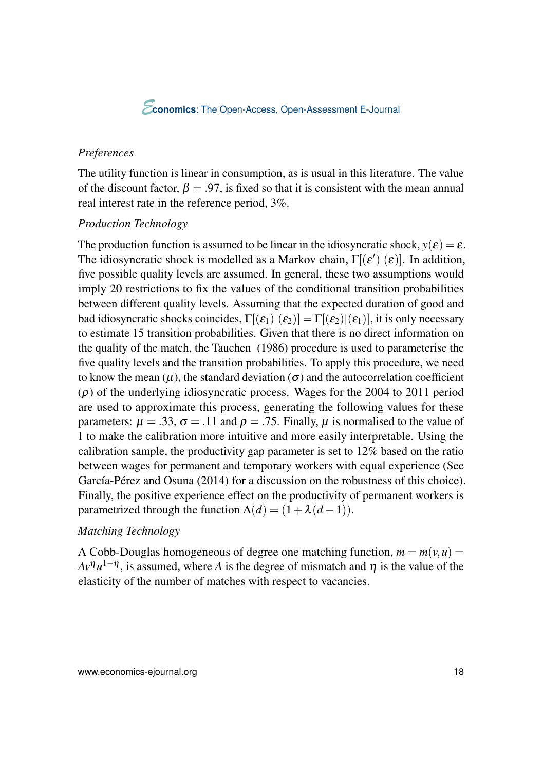# *Preferences*

The utility function is linear in consumption, as is usual in this literature. The value of the discount factor,  $\beta = .97$ , is fixed so that it is consistent with the mean annual real interest rate in the reference period, 3%.

# *Production Technology*

The production function is assumed to be linear in the idiosyncratic shock,  $y(\varepsilon) = \varepsilon$ . The idiosyncratic shock is modelled as a Markov chain,  $\Gamma[(\varepsilon')|(\varepsilon)]$ . In addition, five possible quality levels are assumed. In general, these two assumptions would imply 20 restrictions to fix the values of the conditional transition probabilities between different quality levels. Assuming that the expected duration of good and bad idiosyncratic shocks coincides,  $\Gamma[(\epsilon_1)|(\epsilon_2)] = \Gamma[(\epsilon_2)|(\epsilon_1)]$ , it is only necessary to estimate 15 transition probabilities. Given that there is no direct information on the quality of the match, the [Tauchen](#page-34-0) [\(1986\)](#page-34-0) procedure is used to parameterise the five quality levels and the transition probabilities. To apply this procedure, we need to know the mean  $(\mu)$ , the standard deviation ( $\sigma$ ) and the autocorrelation coefficient  $(\rho)$  of the underlying idiosyncratic process. Wages for the 2004 to 2011 period are used to approximate this process, generating the following values for these parameters:  $\mu = .33$ ,  $\sigma = .11$  and  $\rho = .75$ . Finally,  $\mu$  is normalised to the value of 1 to make the calibration more intuitive and more easily interpretable. Using the calibration sample, the productivity gap parameter is set to 12% based on the ratio between wages for permanent and temporary workers with equal experience (See [García-Pérez and Osuna](#page-33-0) [\(2014\)](#page-33-0) for a discussion on the robustness of this choice). Finally, the positive experience effect on the productivity of permanent workers is parametrized through the function  $\Lambda(d) = (1 + \lambda(d - 1)).$ 

## *Matching Technology*

A Cobb-Douglas homogeneous of degree one matching function,  $m = m(v, u)$  $Av^{\eta}u^{1-\eta}$ , is assumed, where *A* is the degree of mismatch and  $\eta$  is the value of the elasticity of the number of matches with respect to vacancies.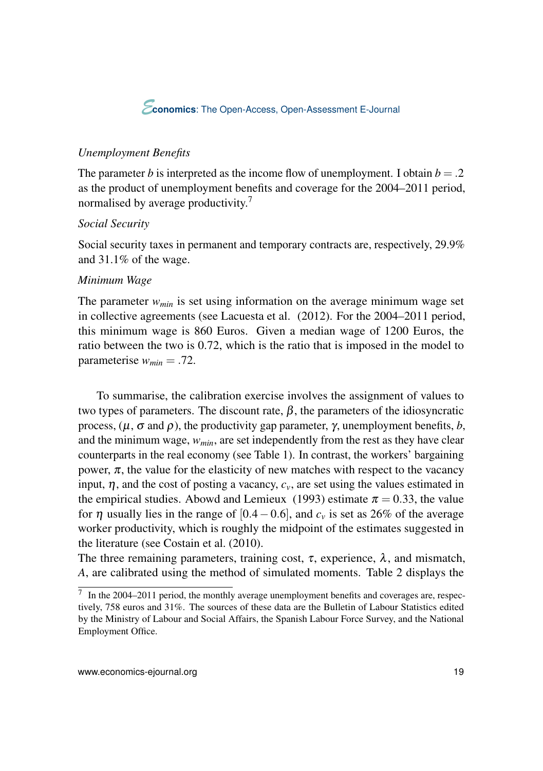

# *Unemployment Benefits*

The parameter *b* is interpreted as the income flow of unemployment. I obtain  $b = .2$ as the product of unemployment benefits and coverage for the 2004–2011 period, normalised by average productivity.<sup>7</sup>

# *Social Security*

Social security taxes in permanent and temporary contracts are, respectively, 29.9% and 31.1% of the wage.

# *Minimum Wage*

The parameter  $w_{min}$  is set using information on the average minimum wage set in collective agreements (see [Lacuesta et al.](#page-33-0) [\(2012\)](#page-33-0). For the 2004–2011 period, this minimum wage is 860 Euros. Given a median wage of 1200 Euros, the ratio between the two is 0.72, which is the ratio that is imposed in the model to parameterise  $w_{min} = .72$ .

To summarise, the calibration exercise involves the assignment of values to two types of parameters. The discount rate,  $\beta$ , the parameters of the idiosyncratic process,  $(μ, σ and ρ)$ , the productivity gap parameter, γ, unemployment benefits, *b*, and the minimum wage, *wmin*, are set independently from the rest as they have clear counterparts in the real economy (see Table 1). In contrast, the workers' bargaining power, π, the value for the elasticity of new matches with respect to the vacancy input,  $\eta$ , and the cost of posting a vacancy,  $c<sub>v</sub>$ , are set using the values estimated in the empirical studies. [Abowd and Lemieux](#page-32-0) [\(1993\)](#page-32-0) estimate  $\pi = 0.33$ , the value for  $\eta$  usually lies in the range of [0.4 – 0.6], and  $c<sub>v</sub>$  is set as 26% of the average worker productivity, which is roughly the midpoint of the estimates suggested in the literature (see [Costain et al.](#page-32-0) [\(2010\)](#page-32-0).

The three remaining parameters, training cost,  $\tau$ , experience,  $\lambda$ , and mismatch, *A*, are calibrated using the method of simulated moments. Table [2](#page-20-0) displays the

<sup>&</sup>lt;sup>7</sup> In the 2004–2011 period, the monthly average unemployment benefits and coverages are, respectively, 758 euros and 31%. The sources of these data are the Bulletin of Labour Statistics edited by the Ministry of Labour and Social Affairs, the Spanish Labour Force Survey, and the National Employment Office.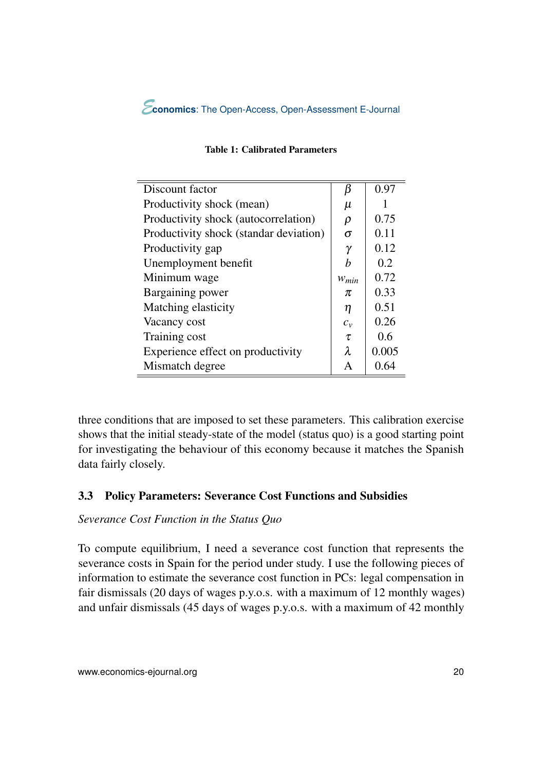| Discount factor                        | β         | 0.97  |
|----------------------------------------|-----------|-------|
| Productivity shock (mean)              | $\mu$     |       |
| Productivity shock (autocorrelation)   | ρ         | 0.75  |
| Productivity shock (standar deviation) | σ         | 0.11  |
| Productivity gap                       | γ         | 0.12  |
| Unemployment benefit                   | h         | 0.2   |
| Minimum wage                           | $W_{min}$ | 0.72  |
| Bargaining power                       | π         | 0.33  |
| Matching elasticity                    | η         | 0.51  |
| Vacancy cost                           | $c_v$     | 0.26  |
| Training cost                          | τ         | 0.6   |
| Experience effect on productivity      | λ         | 0.005 |
| Mismatch degree                        | А         | 0.64  |

#### Table 1: Calibrated Parameters

three conditions that are imposed to set these parameters. This calibration exercise shows that the initial steady-state of the model (status quo) is a good starting point for investigating the behaviour of this economy because it matches the Spanish data fairly closely.

# 3.3 Policy Parameters: Severance Cost Functions and Subsidies

*Severance Cost Function in the Status Quo*

To compute equilibrium, I need a severance cost function that represents the severance costs in Spain for the period under study. I use the following pieces of information to estimate the severance cost function in PCs: legal compensation in fair dismissals (20 days of wages p.y.o.s. with a maximum of 12 monthly wages) and unfair dismissals (45 days of wages p.y.o.s. with a maximum of 42 monthly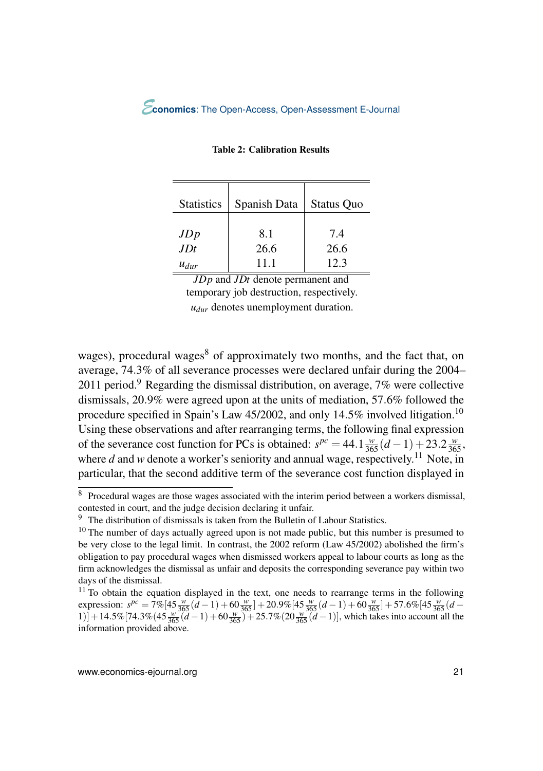<span id="page-20-0"></span>

| <b>Statistics</b>  | Spanish Data | <b>Status Quo</b> |
|--------------------|--------------|-------------------|
| $J \overline{D} p$ | 8.1          | 7.4               |
| JDt                | 26.6         | 26.6              |
| $u_{dur}$          | 11 1         | 12.3              |

Table 2: Calibration Results

*JDp* and *JDt* denote permanent and temporary job destruction, respectively. *udur* denotes unemployment duration.

wages), procedural wages<sup>8</sup> of approximately two months, and the fact that, on average, 74.3% of all severance processes were declared unfair during the 2004– 2011 period.<sup>9</sup> Regarding the dismissal distribution, on average,  $7\%$  were collective dismissals, 20.9% were agreed upon at the units of mediation, 57.6% followed the procedure specified in Spain's Law 45/2002, and only 14.5% involved litigation.<sup>10</sup> Using these observations and after rearranging terms, the following final expression of the severance cost function for PCs is obtained:  $s^{pc} = 44.1 \frac{w}{365} (d-1) + 23.2 \frac{w}{365}$ , where  $d$  and  $w$  denote a worker's seniority and annual wage, respectively.<sup>11</sup> Note, in particular, that the second additive term of the severance cost function displayed in

<sup>8</sup> Procedural wages are those wages associated with the interim period between a workers dismissal, contested in court, and the judge decision declaring it unfair.

<sup>&</sup>lt;sup>9</sup> The distribution of dismissals is taken from the Bulletin of Labour Statistics.

 $10$  The number of days actually agreed upon is not made public, but this number is presumed to be very close to the legal limit. In contrast, the 2002 reform (Law 45/2002) abolished the firm's obligation to pay procedural wages when dismissed workers appeal to labour courts as long as the firm acknowledges the dismissal as unfair and deposits the corresponding severance pay within two days of the dismissal.

 $11$  To obtain the equation displayed in the text, one needs to rearrange terms in the following expression:  $s^{pc} = 7\% \left[ 45 \frac{w}{365} (d-1) + 60 \frac{w}{365} \right] + 20.9\% \left[ 45 \frac{w}{365} (d-1) + 60 \frac{w}{365} \right] + 57.6\% \left[ 45 \frac{w}{365} (d-1) \right]$ 1)] + 14.5%[74.3%(45  $\frac{w}{365}$ ( $d$  − 1) + 60  $\frac{w}{365}$ ) + 25.7%(20  $\frac{w}{365}$ ( $d$  − 1)], which takes into account all the information provided above.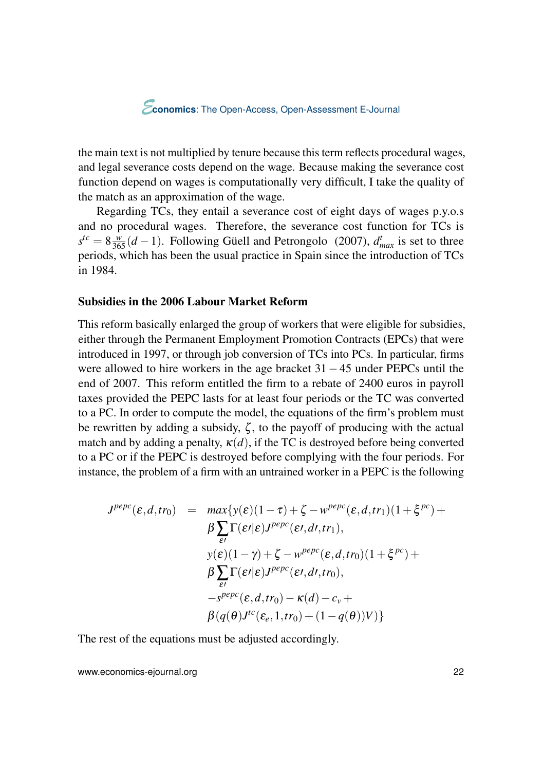the main text is not multiplied by tenure because this term reflects procedural wages, and legal severance costs depend on the wage. Because making the severance cost function depend on wages is computationally very difficult, I take the quality of the match as an approximation of the wage.

Regarding TCs, they entail a severance cost of eight days of wages p.y.o.s and no procedural wages. Therefore, the severance cost function for TCs is  $s^{tc} = 8 \frac{w}{365} (d-1)$ . Following [Güell and Petrongolo](#page-33-0) [\(2007\)](#page-33-0),  $d_{max}^t$  is set to three periods, which has been the usual practice in Spain since the introduction of TCs in 1984.

#### Subsidies in the 2006 Labour Market Reform

This reform basically enlarged the group of workers that were eligible for subsidies, either through the Permanent Employment Promotion Contracts (EPCs) that were introduced in 1997, or through job conversion of TCs into PCs. In particular, firms were allowed to hire workers in the age bracket  $31 - 45$  under PEPCs until the end of 2007. This reform entitled the firm to a rebate of 2400 euros in payroll taxes provided the PEPC lasts for at least four periods or the TC was converted to a PC. In order to compute the model, the equations of the firm's problem must be rewritten by adding a subsidy,  $\zeta$ , to the payoff of producing with the actual match and by adding a penalty,  $\kappa(d)$ , if the TC is destroyed before being converted to a PC or if the PEPC is destroyed before complying with the four periods. For instance, the problem of a firm with an untrained worker in a PEPC is the following

$$
J^{pepc}(\varepsilon, d, tr_0) = \max \{ y(\varepsilon)(1-\tau) + \zeta - w^{pepc}(\varepsilon, d, tr_1)(1+\xi^{pc}) + \beta \sum_{\varepsilon'} \Gamma(\varepsilon'|\varepsilon) J^{pepc}(\varepsilon, d, tr_1),
$$
  

$$
y(\varepsilon)(1-\gamma) + \zeta - w^{pepc}(\varepsilon, d, tr_0)(1+\xi^{pc}) + \beta \sum_{\varepsilon'} \Gamma(\varepsilon'|\varepsilon) J^{pepc}(\varepsilon, d, tr_0),
$$
  

$$
-s^{pepc}(\varepsilon, d, tr_0) - \kappa(d) - c_v + \beta (q(\theta) J^{tc}(\varepsilon_e, 1, tr_0) + (1 - q(\theta))V) \}
$$

The rest of the equations must be adjusted accordingly.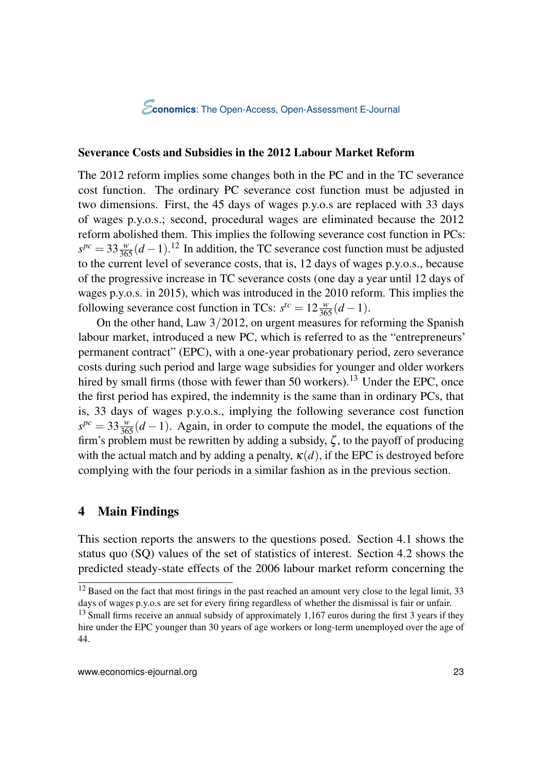#### <span id="page-22-0"></span>Severance Costs and Subsidies in the 2012 Labour Market Reform

The 2012 reform implies some changes both in the PC and in the TC severance cost function. The ordinary PC severance cost function must be adjusted in two dimensions. First, the 45 days of wages p.y.o.s are replaced with 33 days of wages p.y.o.s.; second, procedural wages are eliminated because the 2012 reform abolished them. This implies the following severance cost function in PCs:  $s^{pc} = 33 \frac{w}{365} (d-1).$ <sup>12</sup> In addition, the TC severance cost function must be adjusted to the current level of severance costs, that is, 12 days of wages p.y.o.s., because of the progressive increase in TC severance costs (one day a year until 12 days of wages p.y.o.s. in 2015), which was introduced in the 2010 reform. This implies the following severance cost function in TCs:  $s^{tc} = 12 \frac{w}{365} (d-1)$ .

On the other hand, Law 3/2012, on urgent measures for reforming the Spanish labour market, introduced a new PC, which is referred to as the "entrepreneurs' permanent contract" (EPC), with a one-year probationary period, zero severance costs during such period and large wage subsidies for younger and older workers hired by small firms (those with fewer than 50 workers).<sup>13</sup> Under the EPC, once the first period has expired, the indemnity is the same than in ordinary PCs, that is, 33 days of wages p.y.o.s., implying the following severance cost function  $s^{pc} = 33 \frac{w}{365} (d-1)$ . Again, in order to compute the model, the equations of the firm's problem must be rewritten by adding a subsidy,  $\zeta$ , to the payoff of producing with the actual match and by adding a penalty,  $\kappa(d)$ , if the EPC is destroyed before complying with the four periods in a similar fashion as in the previous section.

# 4 Main Findings

This section reports the answers to the questions posed. Section [4.1](#page-23-0) shows the status quo (SQ) values of the set of statistics of interest. Section [4.2](#page-23-0) shows the predicted steady-state effects of the 2006 labour market reform concerning the

<sup>&</sup>lt;sup>12</sup> Based on the fact that most firings in the past reached an amount very close to the legal limit, 33 days of wages p.y.o.s are set for every firing regardless of whether the dismissal is fair or unfair.

<sup>&</sup>lt;sup>13</sup> Small firms receive an annual subsidy of approximately 1,167 euros during the first 3 years if they hire under the EPC younger than 30 years of age workers or long-term unemployed over the age of 44.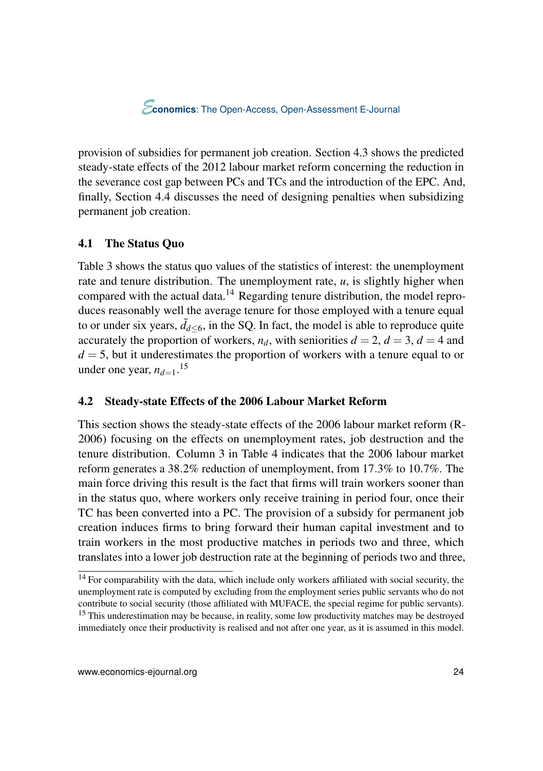<span id="page-23-0"></span>provision of subsidies for permanent job creation. Section [4.3](#page-25-0) shows the predicted steady-state effects of the 2012 labour market reform concerning the reduction in the severance cost gap between PCs and TCs and the introduction of the EPC. And, finally, Section [4.4](#page-28-0) discusses the need of designing penalties when subsidizing permanent job creation.

# 4.1 The Status Quo

Table [3](#page-24-0) shows the status quo values of the statistics of interest: the unemployment rate and tenure distribution. The unemployment rate, *u*, is slightly higher when compared with the actual data.<sup>14</sup> Regarding tenure distribution, the model reproduces reasonably well the average tenure for those employed with a tenure equal to or under six years,  $\bar{d}_{d \leq 6}$ , in the SQ. In fact, the model is able to reproduce quite accurately the proportion of workers,  $n_d$ , with seniorities  $d = 2$ ,  $d = 3$ ,  $d = 4$  and *d* = 5, but it underestimates the proportion of workers with a tenure equal to or under one year,  $n_{d=1}$ .<sup>15</sup>

# 4.2 Steady-state Effects of the 2006 Labour Market Reform

This section shows the steady-state effects of the 2006 labour market reform (R-2006) focusing on the effects on unemployment rates, job destruction and the tenure distribution. Column 3 in Table [4](#page-26-0) indicates that the 2006 labour market reform generates a 38.2% reduction of unemployment, from 17.3% to 10.7%. The main force driving this result is the fact that firms will train workers sooner than in the status quo, where workers only receive training in period four, once their TC has been converted into a PC. The provision of a subsidy for permanent job creation induces firms to bring forward their human capital investment and to train workers in the most productive matches in periods two and three, which translates into a lower job destruction rate at the beginning of periods two and three,

<sup>&</sup>lt;sup>14</sup> For comparability with the data, which include only workers affiliated with social security, the unemployment rate is computed by excluding from the employment series public servants who do not contribute to social security (those affiliated with MUFACE, the special regime for public servants). <sup>15</sup> This underestimation may be because, in reality, some low productivity matches may be destroyed immediately once their productivity is realised and not after one year, as it is assumed in this model.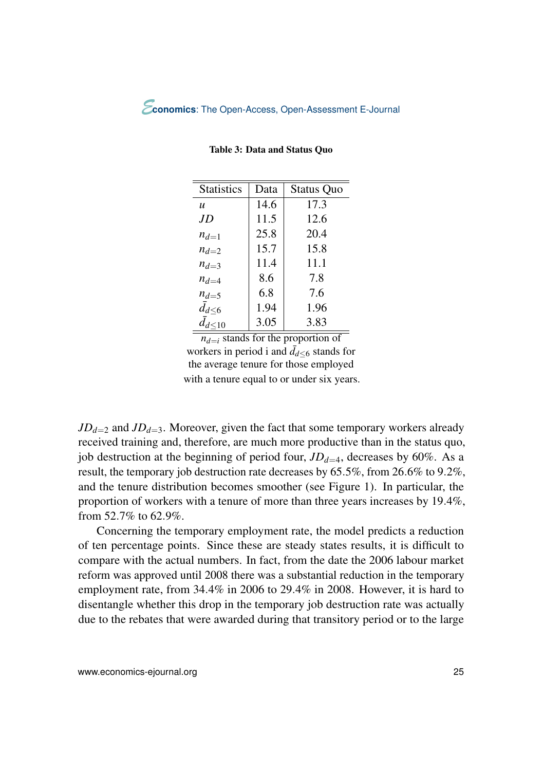| <b>Statistics</b>     | Data | Status Quo |
|-----------------------|------|------------|
| $\boldsymbol{u}$      | 14.6 | 17.3       |
| JD                    | 11.5 | 12.6       |
| $n_{d=1}$             | 25.8 | 20.4       |
| $n_{d=2}$             | 15.7 | 15.8       |
| $n_{d=3}$             | 11.4 | 11.1       |
| $n_{d=4}$             | 8.6  | 7.8        |
| $n_{d=5}$             | 6.8  | 7.6        |
| $\bar{d}_{d \leq 6}$  | 1.94 | 1.96       |
| $\bar{d}_{d \leq 10}$ | 3.05 | 3.83       |

<span id="page-24-0"></span>

| Table 3: Data and Status Quo |  |  |  |  |
|------------------------------|--|--|--|--|
|------------------------------|--|--|--|--|

 $n_{d=i}$  stands for the proportion of workers in period i and  $\bar{d}_{d\leq 6}$  stands for the average tenure for those employed with a tenure equal to or under six years.

 $JD_{d=2}$  and  $JD_{d=3}$ . Moreover, given the fact that some temporary workers already received training and, therefore, are much more productive than in the status quo, job destruction at the beginning of period four,  $JD_{d=4}$ , decreases by 60%. As a result, the temporary job destruction rate decreases by 65.5%, from 26.6% to 9.2%, and the tenure distribution becomes smoother (see Figure 1). In particular, the proportion of workers with a tenure of more than three years increases by 19.4%, from 52.7% to 62.9%.

Concerning the temporary employment rate, the model predicts a reduction of ten percentage points. Since these are steady states results, it is difficult to compare with the actual numbers. In fact, from the date the 2006 labour market reform was approved until 2008 there was a substantial reduction in the temporary employment rate, from 34.4% in 2006 to 29.4% in 2008. However, it is hard to disentangle whether this drop in the temporary job destruction rate was actually due to the rebates that were awarded during that transitory period or to the large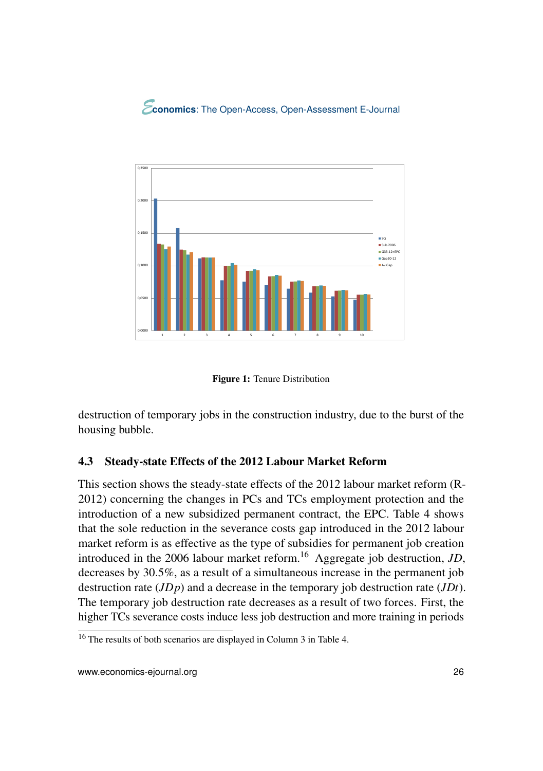<span id="page-25-0"></span>

Figure 1: Tenure Distribution

destruction of temporary jobs in the construction industry, due to the burst of the housing bubble.

# 4.3 Steady-state Effects of the 2012 Labour Market Reform

This section shows the steady-state effects of the 2012 labour market reform (R-2012) concerning the changes in PCs and TCs employment protection and the introduction of a new subsidized permanent contract, the EPC. Table [4](#page-26-0) shows that the sole reduction in the severance costs gap introduced in the 2012 labour market reform is as effective as the type of subsidies for permanent job creation introduced in the 2006 labour market reform.<sup>16</sup> Aggregate job destruction, *JD*, decreases by 30.5%, as a result of a simultaneous increase in the permanent job destruction rate (*JDp*) and a decrease in the temporary job destruction rate (*JDt*). The temporary job destruction rate decreases as a result of two forces. First, the higher TCs severance costs induce less job destruction and more training in periods

<sup>16</sup> The results of both scenarios are displayed in Column 3 in Table [4.](#page-26-0)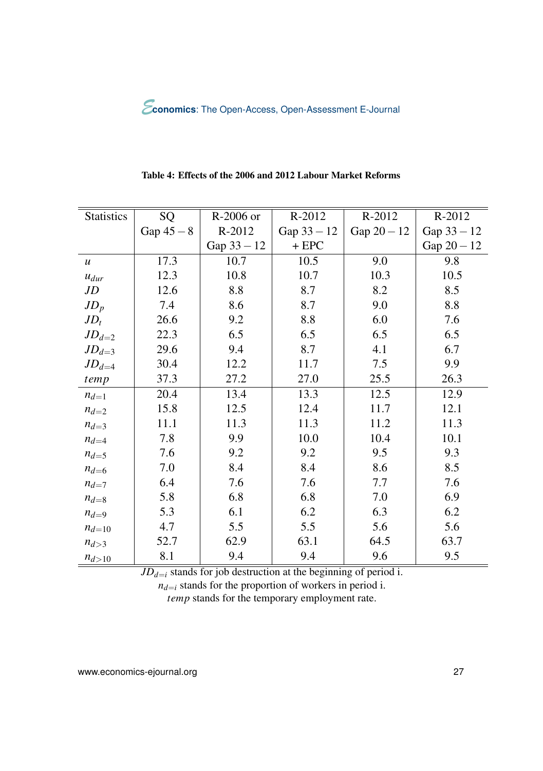<span id="page-26-0"></span>

| <b>Statistics</b> | SQ           | R-2006 or     | R-2012        | R-2012        | R-2012        |
|-------------------|--------------|---------------|---------------|---------------|---------------|
|                   | Gap $45 - 8$ | R-2012        | Gap $33 - 12$ | Gap $20 - 12$ | Gap $33 - 12$ |
|                   |              | Gap $33 - 12$ | $+ EPC$       |               | Gap $20 - 12$ |
| $\boldsymbol{u}$  | 17.3         | 10.7          | 10.5          | 9.0           | 9.8           |
| $u_{dur}$         | 12.3         | 10.8          | 10.7          | 10.3          | 10.5          |
| JD                | 12.6         | 8.8           | 8.7           | 8.2           | 8.5           |
| $JD_p$            | 7.4          | 8.6           | 8.7           | 9.0           | 8.8           |
| $JD_t$            | 26.6         | 9.2           | 8.8           | 6.0           | 7.6           |
| $JD_{d=2}$        | 22.3         | 6.5           | 6.5           | 6.5           | 6.5           |
| $JD_{d=3}$        | 29.6         | 9.4           | 8.7           | 4.1           | 6.7           |
| $JD_{d=4}$        | 30.4         | 12.2          | 11.7          | 7.5           | 9.9           |
| temp              | 37.3         | 27.2          | 27.0          | 25.5          | 26.3          |
| $n_{d=1}$         | 20.4         | 13.4          | 13.3          | 12.5          | 12.9          |
| $n_{d=2}$         | 15.8         | 12.5          | 12.4          | 11.7          | 12.1          |
| $n_{d=3}$         | 11.1         | 11.3          | 11.3          | 11.2          | 11.3          |
| $n_{d=4}$         | 7.8          | 9.9           | 10.0          | 10.4          | 10.1          |
| $n_{d=5}$         | 7.6          | 9.2           | 9.2           | 9.5           | 9.3           |
| $n_{d=6}$         | 7.0          | 8.4           | 8.4           | 8.6           | 8.5           |
| $n_{d=7}$         | 6.4          | 7.6           | 7.6           | 7.7           | 7.6           |
| $n_{d=8}$         | 5.8          | 6.8           | 6.8           | 7.0           | 6.9           |
| $n_{d=9}$         | 5.3          | 6.1           | 6.2           | 6.3           | 6.2           |
| $n_{d=10}$        | 4.7          | 5.5           | 5.5           | 5.6           | 5.6           |
| $n_{d>3}$         | 52.7         | 62.9          | 63.1          | 64.5          | 63.7          |
| $n_{d>10}$        | 8.1          | 9.4           | 9.4           | 9.6           | 9.5           |

## Table 4: Effects of the 2006 and 2012 Labour Market Reforms

 $JD_{d=i}$  stands for job destruction at the beginning of period i.

 $n_{d=i}$  stands for the proportion of workers in period i.

*temp* stands for the temporary employment rate.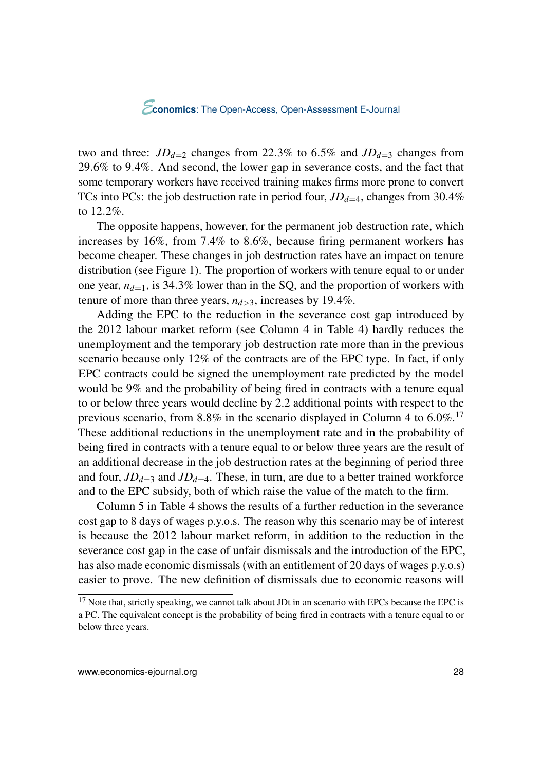two and three:  $JD_{d=2}$  changes from 22.3% to 6.5% and  $JD_{d=3}$  changes from 29.6% to 9.4%. And second, the lower gap in severance costs, and the fact that some temporary workers have received training makes firms more prone to convert TCs into PCs: the job destruction rate in period four,  $JD_{d=4}$ , changes from 30.4% to 12.2%.

The opposite happens, however, for the permanent job destruction rate, which increases by 16%, from 7.4% to 8.6%, because firing permanent workers has become cheaper. These changes in job destruction rates have an impact on tenure distribution (see Figure 1). The proportion of workers with tenure equal to or under one year,  $n_{d=1}$ , is 34.3% lower than in the SQ, and the proportion of workers with tenure of more than three years,  $n_{d>3}$ , increases by 19.4%.

Adding the EPC to the reduction in the severance cost gap introduced by the 2012 labour market reform (see Column 4 in Table [4\)](#page-26-0) hardly reduces the unemployment and the temporary job destruction rate more than in the previous scenario because only 12% of the contracts are of the EPC type. In fact, if only EPC contracts could be signed the unemployment rate predicted by the model would be 9% and the probability of being fired in contracts with a tenure equal to or below three years would decline by 2.2 additional points with respect to the previous scenario, from 8.8% in the scenario displayed in Column 4 to  $6.0\%$ <sup>17</sup> These additional reductions in the unemployment rate and in the probability of being fired in contracts with a tenure equal to or below three years are the result of an additional decrease in the job destruction rates at the beginning of period three and four,  $JD_{d=3}$  and  $JD_{d=4}$ . These, in turn, are due to a better trained workforce and to the EPC subsidy, both of which raise the value of the match to the firm.

Column 5 in Table [4](#page-26-0) shows the results of a further reduction in the severance cost gap to 8 days of wages p.y.o.s. The reason why this scenario may be of interest is because the 2012 labour market reform, in addition to the reduction in the severance cost gap in the case of unfair dismissals and the introduction of the EPC, has also made economic dismissals (with an entitlement of 20 days of wages p.y.o.s) easier to prove. The new definition of dismissals due to economic reasons will

 $17$  Note that, strictly speaking, we cannot talk about JDt in an scenario with EPCs because the EPC is a PC. The equivalent concept is the probability of being fired in contracts with a tenure equal to or below three years.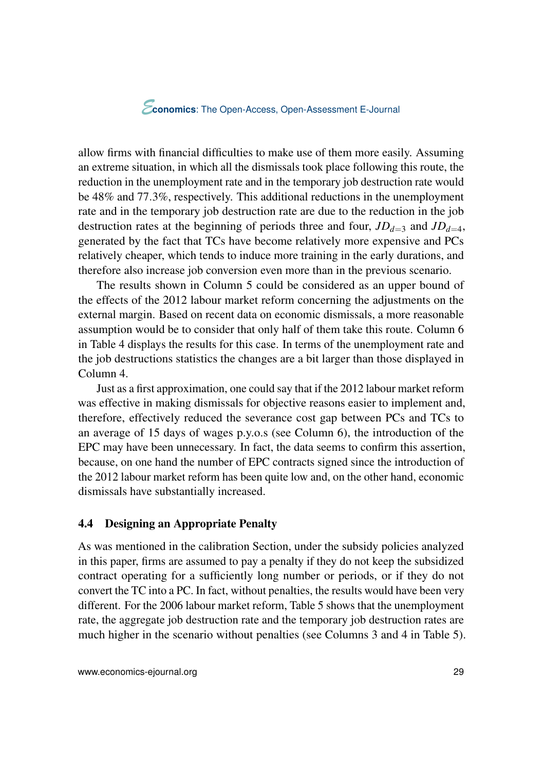<span id="page-28-0"></span>allow firms with financial difficulties to make use of them more easily. Assuming an extreme situation, in which all the dismissals took place following this route, the reduction in the unemployment rate and in the temporary job destruction rate would be 48% and 77.3%, respectively. This additional reductions in the unemployment rate and in the temporary job destruction rate are due to the reduction in the job destruction rates at the beginning of periods three and four,  $JD_{d=3}$  and  $JD_{d=4}$ , generated by the fact that TCs have become relatively more expensive and PCs relatively cheaper, which tends to induce more training in the early durations, and therefore also increase job conversion even more than in the previous scenario.

The results shown in Column 5 could be considered as an upper bound of the effects of the 2012 labour market reform concerning the adjustments on the external margin. Based on recent data on economic dismissals, a more reasonable assumption would be to consider that only half of them take this route. Column 6 in Table [4](#page-26-0) displays the results for this case. In terms of the unemployment rate and the job destructions statistics the changes are a bit larger than those displayed in Column 4.

Just as a first approximation, one could say that if the 2012 labour market reform was effective in making dismissals for objective reasons easier to implement and, therefore, effectively reduced the severance cost gap between PCs and TCs to an average of 15 days of wages p.y.o.s (see Column 6), the introduction of the EPC may have been unnecessary. In fact, the data seems to confirm this assertion, because, on one hand the number of EPC contracts signed since the introduction of the 2012 labour market reform has been quite low and, on the other hand, economic dismissals have substantially increased.

#### 4.4 Designing an Appropriate Penalty

As was mentioned in the calibration Section, under the subsidy policies analyzed in this paper, firms are assumed to pay a penalty if they do not keep the subsidized contract operating for a sufficiently long number or periods, or if they do not convert the TC into a PC. In fact, without penalties, the results would have been very different. For the 2006 labour market reform, Table [5](#page-29-0) shows that the unemployment rate, the aggregate job destruction rate and the temporary job destruction rates are much higher in the scenario without penalties (see Columns 3 and 4 in Table [5\)](#page-29-0).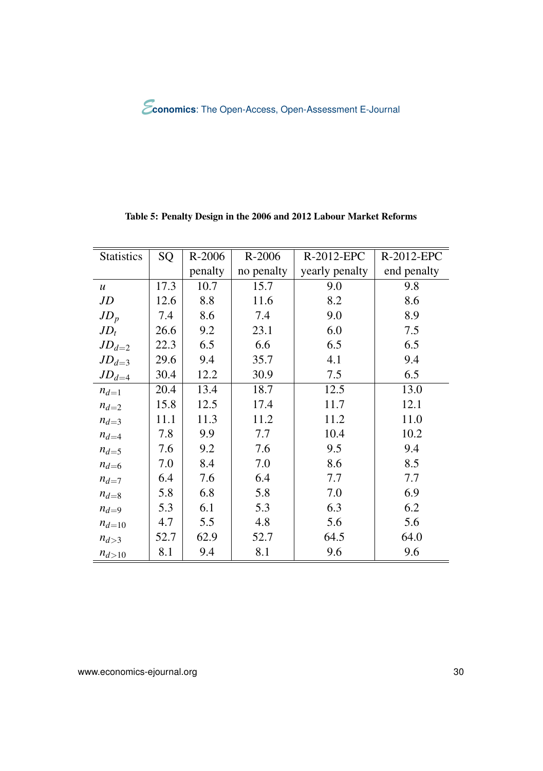| <b>Statistics</b> | SQ   | $R-2006$ | $R-2006$   | R-2012-EPC     | R-2012-EPC  |
|-------------------|------|----------|------------|----------------|-------------|
|                   |      | penalty  | no penalty | yearly penalty | end penalty |
| $\boldsymbol{u}$  | 17.3 | 10.7     | 15.7       | 9.0            | 9.8         |
| JD                | 12.6 | 8.8      | 11.6       | 8.2            | 8.6         |
| $JD_p$            | 7.4  | 8.6      | 7.4        | 9.0            | 8.9         |
| $JD_t$            | 26.6 | 9.2      | 23.1       | 6.0            | 7.5         |
| $JD_{d=2}$        | 22.3 | 6.5      | 6.6        | 6.5            | 6.5         |
| $JD_{d=3}$        | 29.6 | 9.4      | 35.7       | 4.1            | 9.4         |
| $JD_{d=4}$        | 30.4 | 12.2     | 30.9       | 7.5            | 6.5         |
| $n_{d=1}$         | 20.4 | 13.4     | 18.7       | 12.5           | 13.0        |
| $n_{d=2}$         | 15.8 | 12.5     | 17.4       | 11.7           | 12.1        |
| $n_{d=3}$         | 11.1 | 11.3     | 11.2       | 11.2           | 11.0        |
| $n_{d=4}$         | 7.8  | 9.9      | 7.7        | 10.4           | 10.2        |
| $n_{d=5}$         | 7.6  | 9.2      | 7.6        | 9.5            | 9.4         |
| $n_{d=6}$         | 7.0  | 8.4      | 7.0        | 8.6            | 8.5         |
| $n_{d=7}$         | 6.4  | 7.6      | 6.4        | 7.7            | 7.7         |
| $n_{d=8}$         | 5.8  | 6.8      | 5.8        | 7.0            | 6.9         |
| $n_{d=9}$         | 5.3  | 6.1      | 5.3        | 6.3            | 6.2         |
| $n_{d=10}$        | 4.7  | 5.5      | 4.8        | 5.6            | 5.6         |
| $n_{d>3}$         | 52.7 | 62.9     | 52.7       | 64.5           | 64.0        |
| $n_{d>10}$        | 8.1  | 9.4      | 8.1        | 9.6            | 9.6         |

# <span id="page-29-0"></span>Table 5: Penalty Design in the 2006 and 2012 Labour Market Reforms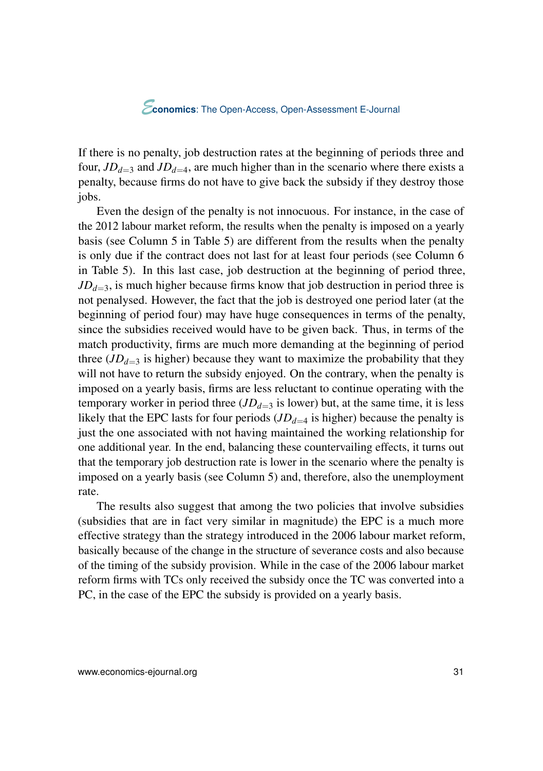If there is no penalty, job destruction rates at the beginning of periods three and four,  $JD_{d=3}$  and  $JD_{d=4}$ , are much higher than in the scenario where there exists a penalty, because firms do not have to give back the subsidy if they destroy those jobs.

Even the design of the penalty is not innocuous. For instance, in the case of the 2012 labour market reform, the results when the penalty is imposed on a yearly basis (see Column 5 in Table [5\)](#page-29-0) are different from the results when the penalty is only due if the contract does not last for at least four periods (see Column 6 in Table [5\)](#page-29-0). In this last case, job destruction at the beginning of period three,  $JD_{d=3}$ , is much higher because firms know that job destruction in period three is not penalysed. However, the fact that the job is destroyed one period later (at the beginning of period four) may have huge consequences in terms of the penalty, since the subsidies received would have to be given back. Thus, in terms of the match productivity, firms are much more demanding at the beginning of period three  $(JD_{d=3}$  is higher) because they want to maximize the probability that they will not have to return the subsidy enjoyed. On the contrary, when the penalty is imposed on a yearly basis, firms are less reluctant to continue operating with the temporary worker in period three  $(JD_{d=3})$  is lower) but, at the same time, it is less likely that the EPC lasts for four periods  $(JD_{d=4}$  is higher) because the penalty is just the one associated with not having maintained the working relationship for one additional year. In the end, balancing these countervailing effects, it turns out that the temporary job destruction rate is lower in the scenario where the penalty is imposed on a yearly basis (see Column 5) and, therefore, also the unemployment rate.

The results also suggest that among the two policies that involve subsidies (subsidies that are in fact very similar in magnitude) the EPC is a much more effective strategy than the strategy introduced in the 2006 labour market reform, basically because of the change in the structure of severance costs and also because of the timing of the subsidy provision. While in the case of the 2006 labour market reform firms with TCs only received the subsidy once the TC was converted into a PC, in the case of the EPC the subsidy is provided on a yearly basis.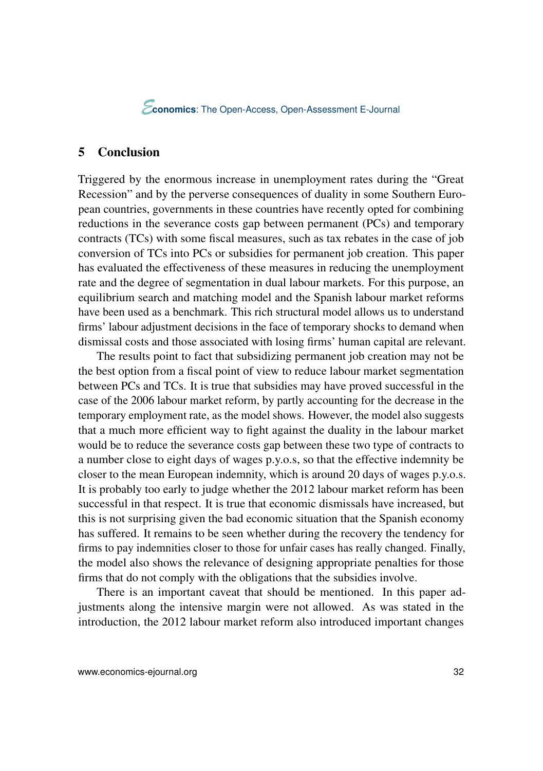## 5 Conclusion

Triggered by the enormous increase in unemployment rates during the "Great Recession" and by the perverse consequences of duality in some Southern European countries, governments in these countries have recently opted for combining reductions in the severance costs gap between permanent (PCs) and temporary contracts (TCs) with some fiscal measures, such as tax rebates in the case of job conversion of TCs into PCs or subsidies for permanent job creation. This paper has evaluated the effectiveness of these measures in reducing the unemployment rate and the degree of segmentation in dual labour markets. For this purpose, an equilibrium search and matching model and the Spanish labour market reforms have been used as a benchmark. This rich structural model allows us to understand firms' labour adjustment decisions in the face of temporary shocks to demand when dismissal costs and those associated with losing firms' human capital are relevant.

The results point to fact that subsidizing permanent job creation may not be the best option from a fiscal point of view to reduce labour market segmentation between PCs and TCs. It is true that subsidies may have proved successful in the case of the 2006 labour market reform, by partly accounting for the decrease in the temporary employment rate, as the model shows. However, the model also suggests that a much more efficient way to fight against the duality in the labour market would be to reduce the severance costs gap between these two type of contracts to a number close to eight days of wages p.y.o.s, so that the effective indemnity be closer to the mean European indemnity, which is around 20 days of wages p.y.o.s. It is probably too early to judge whether the 2012 labour market reform has been successful in that respect. It is true that economic dismissals have increased, but this is not surprising given the bad economic situation that the Spanish economy has suffered. It remains to be seen whether during the recovery the tendency for firms to pay indemnities closer to those for unfair cases has really changed. Finally, the model also shows the relevance of designing appropriate penalties for those firms that do not comply with the obligations that the subsidies involve.

There is an important caveat that should be mentioned. In this paper adjustments along the intensive margin were not allowed. As was stated in the introduction, the 2012 labour market reform also introduced important changes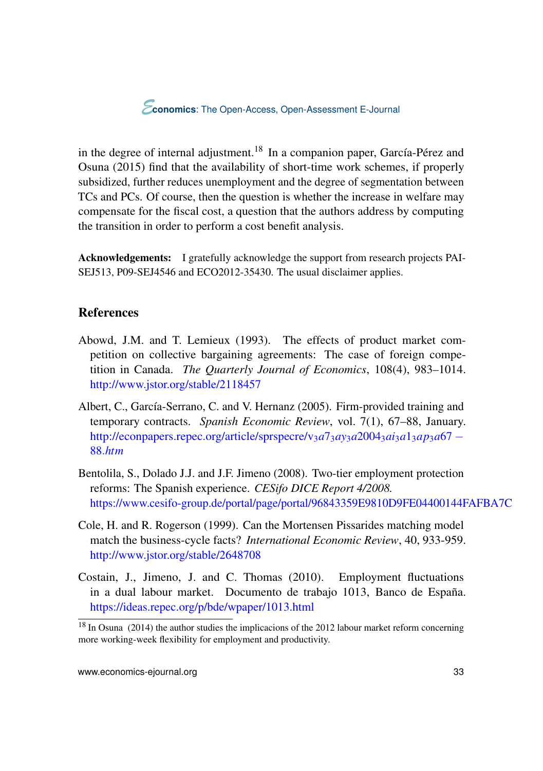<span id="page-32-0"></span>in the degree of internal adjustment.<sup>18</sup> In a companion paper, [García-Pérez and](#page-33-0) [Osuna](#page-33-0) [\(2015\)](#page-33-0) find that the availability of short-time work schemes, if properly subsidized, further reduces unemployment and the degree of segmentation between TCs and PCs. Of course, then the question is whether the increase in welfare may compensate for the fiscal cost, a question that the authors address by computing the transition in order to perform a cost benefit analysis.

Acknowledgements: I gratefully acknowledge the support from research projects PAI-SEJ513, P09-SEJ4546 and ECO2012-35430. The usual disclaimer applies.

# References

- Abowd, J.M. and T. Lemieux (1993). The effects of product market competition on collective bargaining agreements: The case of foreign competition in Canada. *The Quarterly Journal of Economics*, 108(4), 983–1014. http://www.jstor.org/stable/2118457
- Albert, C., García-Serrano, C. and V. Hernanz (2005). Firm-provided training and temporary contracts. *Spanish Economic Review*, vol. 7(1), 67–88, January. http://econpapers.repec.org/article/sprspecre/v3*a*73*ay*3*a*20043*ai*3*a*13*ap*3*a*67 − 88.*htm*
- Bentolila, S., Dolado J.J. and J.F. Jimeno (2008). Two-tier employment protection reforms: The Spanish experience. *CESifo DICE Report 4/2008.* https://www.cesifo-group.de/portal/page/portal/96843359E9810D9FE04400144FAFBA7C
- Cole, H. and R. Rogerson (1999). Can the Mortensen Pissarides matching model match the business-cycle facts? *International Economic Review*, 40, 933-959. http://www.jstor.org/stable/2648708
- Costain, J., Jimeno, J. and C. Thomas (2010). Employment fluctuations in a dual labour market. Documento de trabajo 1013, Banco de España. https://ideas.repec.org/p/bde/wpaper/1013.html

 $18$  In [Osuna](#page-34-0) [\(2014\)](#page-34-0) the author studies the implicacions of the 2012 labour market reform concerning more working-week flexibility for employment and productivity.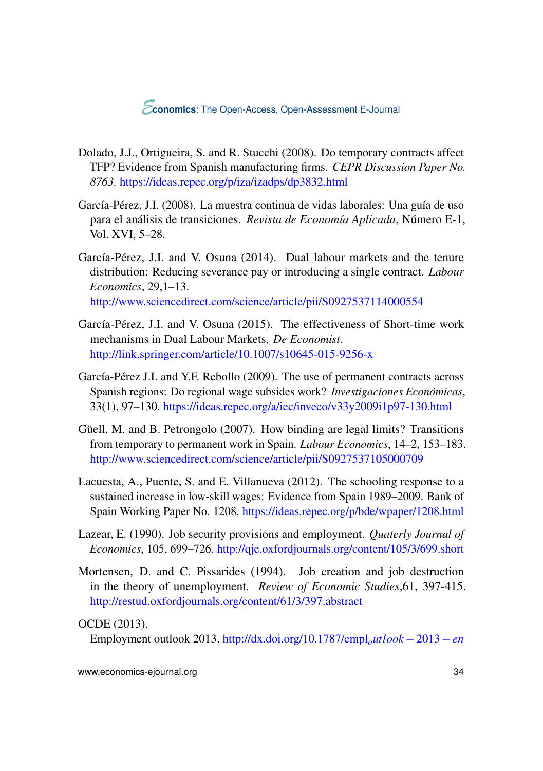- <span id="page-33-0"></span>Dolado, J.J., Ortigueira, S. and R. Stucchi (2008). Do temporary contracts affect TFP? Evidence from Spanish manufacturing firms. *CEPR Discussion Paper No. 8763.* https://ideas.repec.org/p/iza/izadps/dp3832.html
- García-Pérez, J.I. (2008). La muestra continua de vidas laborales: Una guía de uso para el análisis de transiciones. *Revista de Economía Aplicada*, Número E-1, Vol. XVI, 5–28.
- García-Pérez, J.I. and V. Osuna (2014). Dual labour markets and the tenure distribution: Reducing severance pay or introducing a single contract. *Labour Economics*, 29,1–13. http://www.sciencedirect.com/science/article/pii/S0927537114000554
- García-Pérez, J.I. and V. Osuna (2015). The effectiveness of Short-time work mechanisms in Dual Labour Markets, *De Economist*. http://link.springer.com/article/10.1007/s10645-015-9256-x
- García-Pérez J.I. and Y.F. Rebollo (2009). The use of permanent contracts across Spanish regions: Do regional wage subsides work? *Investigaciones Económicas*, 33(1), 97–130. https://ideas.repec.org/a/iec/inveco/v33y2009i1p97-130.html
- Güell, M. and B. Petrongolo (2007). How binding are legal limits? Transitions from temporary to permanent work in Spain. *Labour Economics*, 14–2, 153–183. http://www.sciencedirect.com/science/article/pii/S0927537105000709
- Lacuesta, A., Puente, S. and E. Villanueva (2012). The schooling response to a sustained increase in low-skill wages: Evidence from Spain 1989–2009. Bank of Spain Working Paper No. 1208. https://ideas.repec.org/p/bde/wpaper/1208.html
- Lazear, E. (1990). Job security provisions and employment. *Quaterly Journal of Economics*, 105, 699–726. http://qje.oxfordjournals.org/content/105/3/699.short
- Mortensen, D. and C. Pissarides (1994). Job creation and job destruction in the theory of unemployment. *Review of Economic Studies*,61, 397-415. http://restud.oxfordjournals.org/content/61/3/397.abstract

# OCDE (2013).

Employment outlook 2013. http://dx.doi.org/10.1787/empl*outlook* −2013−*en*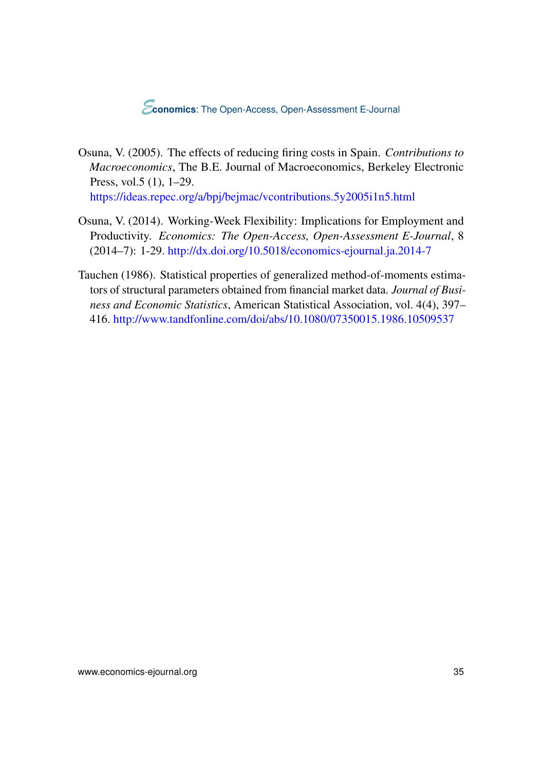

- <span id="page-34-0"></span>Osuna, V. (2005). The effects of reducing firing costs in Spain. *Contributions to Macroeconomics*, The B.E. Journal of Macroeconomics, Berkeley Electronic Press, vol.5 (1), 1–29. https://ideas.repec.org/a/bpj/bejmac/vcontributions.5y2005i1n5.html
- Osuna, V. (2014). Working-Week Flexibility: Implications for Employment and Productivity. *Economics: The Open-Access, Open-Assessment E-Journal*, 8 (2014–7): 1-29. http://dx.doi.org/10.5018/economics-ejournal.ja.2014-7
- Tauchen (1986). Statistical properties of generalized method-of-moments estimators of structural parameters obtained from financial market data. *Journal of Business and Economic Statistics*, American Statistical Association, vol. 4(4), 397– 416. http://www.tandfonline.com/doi/abs/10.1080/07350015.1986.10509537